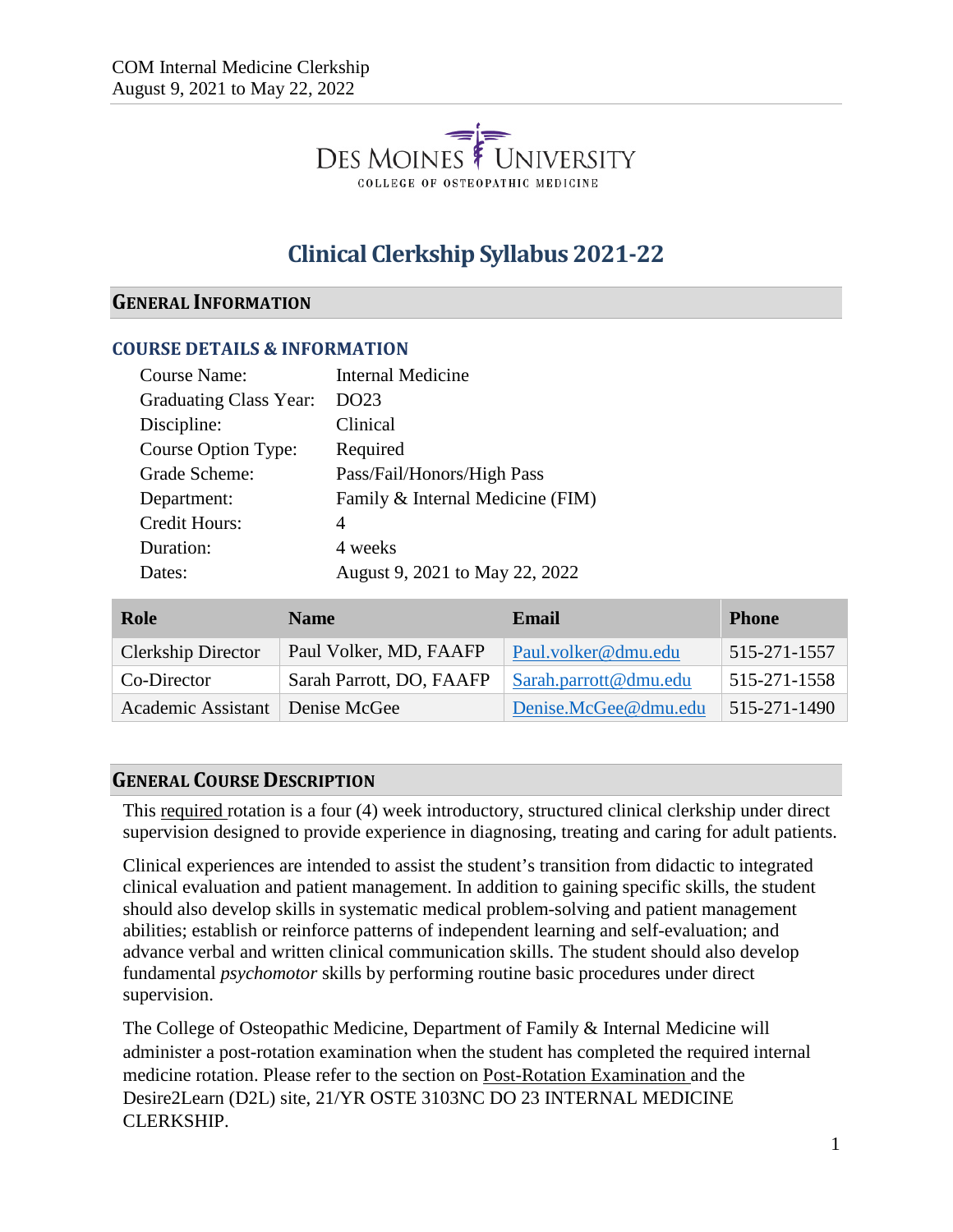

# **Clinical Clerkship Syllabus 2021-22**

### **GENERAL INFORMATION**

#### **COURSE DETAILS & INFORMATION**

| <b>Course Name:</b>           | <b>Internal Medicine</b>         |
|-------------------------------|----------------------------------|
| <b>Graduating Class Year:</b> | DO23                             |
| Discipline:                   | Clinical                         |
| Course Option Type:           | Required                         |
| Grade Scheme:                 | Pass/Fail/Honors/High Pass       |
| Department:                   | Family & Internal Medicine (FIM) |
| <b>Credit Hours:</b>          | 4                                |
| Duration:                     | 4 weeks                          |
| Dates:                        | August 9, 2021 to May 22, 2022   |
|                               |                                  |

| Role                              | <b>Name</b>              | Email                 | <b>Phone</b> |
|-----------------------------------|--------------------------|-----------------------|--------------|
| <b>Clerkship Director</b>         | Paul Volker, MD, FAAFP   | Paul.volker@dmu.edu   | 515-271-1557 |
| Co-Director                       | Sarah Parrott, DO, FAAFP | Sarah.parrott@dmu.edu | 515-271-1558 |
| Academic Assistant   Denise McGee |                          | Denise.McGee@dmu.edu  | 515-271-1490 |

#### **GENERAL COURSE DESCRIPTION**

This required rotation is a four (4) week introductory, structured clinical clerkship under direct supervision designed to provide experience in diagnosing, treating and caring for adult patients.

Clinical experiences are intended to assist the student's transition from didactic to integrated clinical evaluation and patient management. In addition to gaining specific skills, the student should also develop skills in systematic medical problem-solving and patient management abilities; establish or reinforce patterns of independent learning and self-evaluation; and advance verbal and written clinical communication skills. The student should also develop fundamental *psychomotor* skills by performing routine basic procedures under direct supervision.

The College of Osteopathic Medicine, Department of Family & Internal Medicine will administer a post-rotation examination when the student has completed the required internal medicine rotation. Please refer to the section on Post-Rotation Examination and the Desire2Learn (D2L) site, 21/YR OSTE 3103NC DO 23 INTERNAL MEDICINE CLERKSHIP.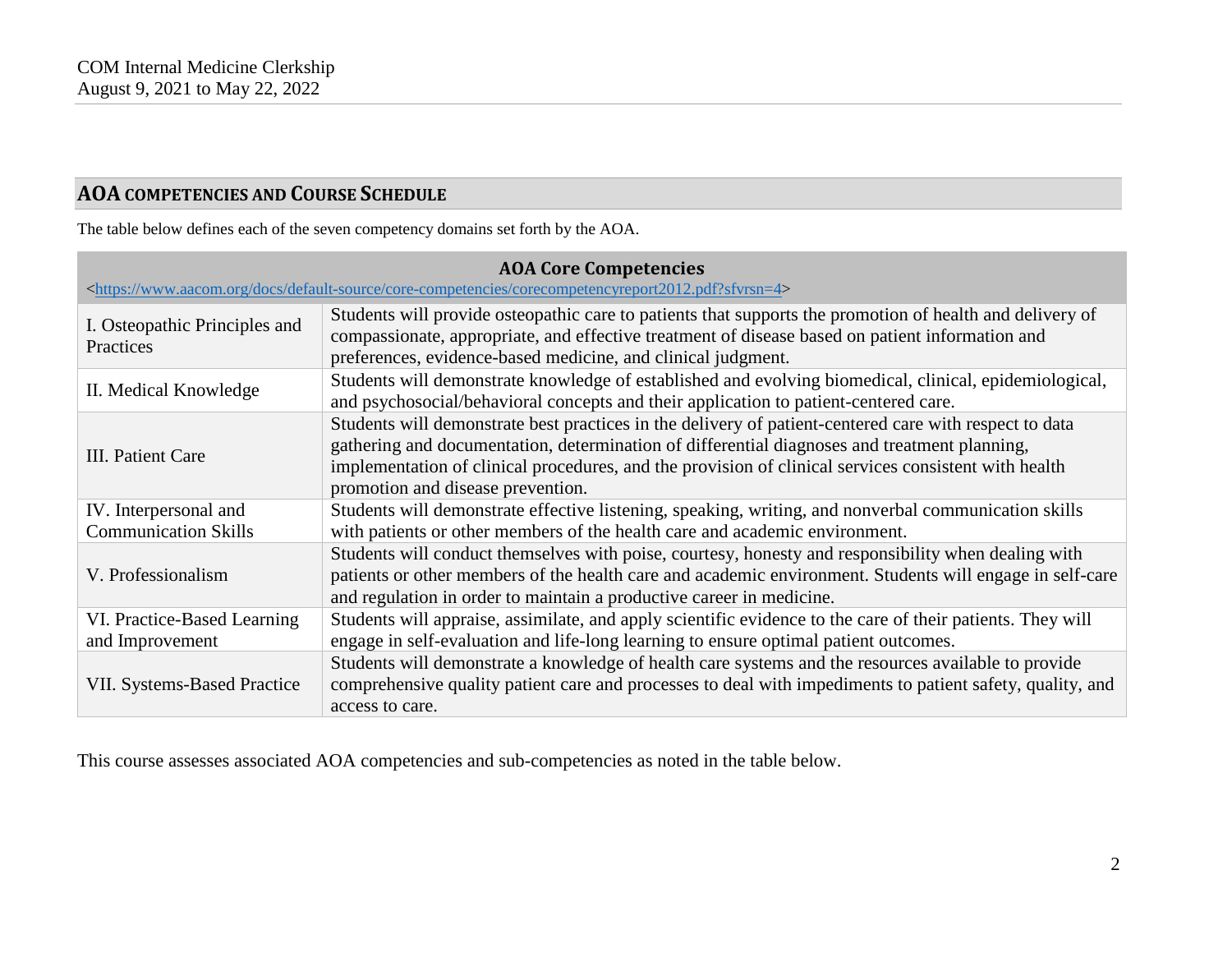# **AOA COMPETENCIES AND COURSE SCHEDULE**

The table below defines each of the seven competency domains set forth by the AOA.

| <b>AOA Core Competencies</b><br><https: core-competencies="" corecompetencyreport2012.pdf?sfvrsn="4" default-source="" docs="" www.aacom.org=""></https:> |                                                                                                                                                                                                                                                                                                                                                     |  |  |  |
|-----------------------------------------------------------------------------------------------------------------------------------------------------------|-----------------------------------------------------------------------------------------------------------------------------------------------------------------------------------------------------------------------------------------------------------------------------------------------------------------------------------------------------|--|--|--|
| I. Osteopathic Principles and<br>Practices                                                                                                                | Students will provide osteopathic care to patients that supports the promotion of health and delivery of<br>compassionate, appropriate, and effective treatment of disease based on patient information and<br>preferences, evidence-based medicine, and clinical judgment.                                                                         |  |  |  |
| II. Medical Knowledge                                                                                                                                     | Students will demonstrate knowledge of established and evolving biomedical, clinical, epidemiological,<br>and psychosocial/behavioral concepts and their application to patient-centered care.                                                                                                                                                      |  |  |  |
| III. Patient Care                                                                                                                                         | Students will demonstrate best practices in the delivery of patient-centered care with respect to data<br>gathering and documentation, determination of differential diagnoses and treatment planning,<br>implementation of clinical procedures, and the provision of clinical services consistent with health<br>promotion and disease prevention. |  |  |  |
| IV. Interpersonal and                                                                                                                                     | Students will demonstrate effective listening, speaking, writing, and nonverbal communication skills                                                                                                                                                                                                                                                |  |  |  |
| <b>Communication Skills</b>                                                                                                                               | with patients or other members of the health care and academic environment.                                                                                                                                                                                                                                                                         |  |  |  |
| V. Professionalism                                                                                                                                        | Students will conduct themselves with poise, courtesy, honesty and responsibility when dealing with<br>patients or other members of the health care and academic environment. Students will engage in self-care<br>and regulation in order to maintain a productive career in medicine.                                                             |  |  |  |
| VI. Practice-Based Learning<br>and Improvement                                                                                                            | Students will appraise, assimilate, and apply scientific evidence to the care of their patients. They will<br>engage in self-evaluation and life-long learning to ensure optimal patient outcomes.                                                                                                                                                  |  |  |  |
| <b>VII. Systems-Based Practice</b>                                                                                                                        | Students will demonstrate a knowledge of health care systems and the resources available to provide<br>comprehensive quality patient care and processes to deal with impediments to patient safety, quality, and<br>access to care.                                                                                                                 |  |  |  |

This course assesses associated AOA competencies and sub-competencies as noted in the table below.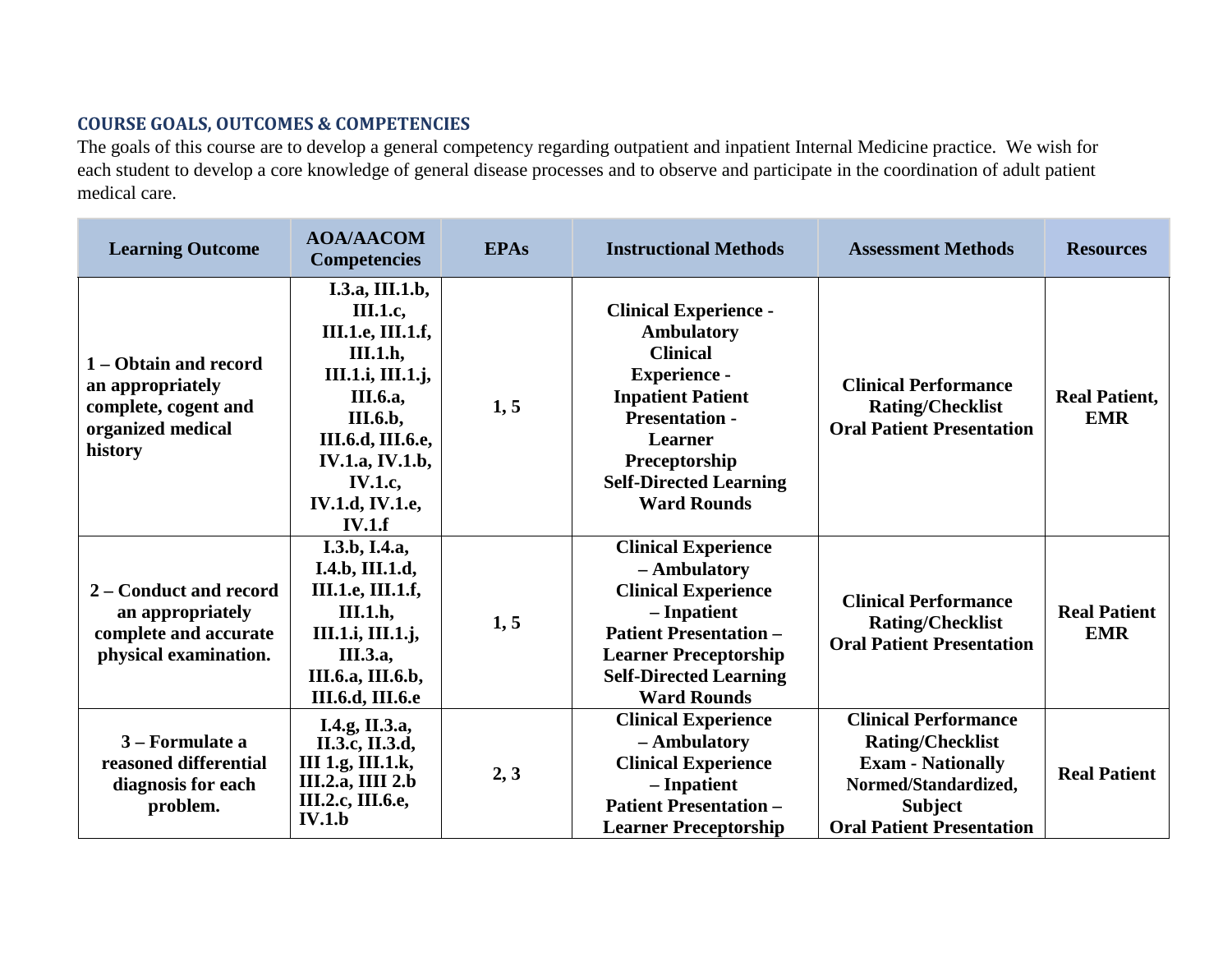# **COURSE GOALS, OUTCOMES & COMPETENCIES**

The goals of this course are to develop a general competency regarding outpatient and inpatient Internal Medicine practice. We wish for each student to develop a core knowledge of general disease processes and to observe and participate in the coordination of adult patient medical care.

| <b>Learning Outcome</b>                                                                           | <b>AOA/AACOM</b><br><b>Competencies</b>                                                                                                                                                                                      | <b>EPAs</b> | <b>Instructional Methods</b>                                                                                                                                                                                                               | <b>Assessment Methods</b>                                                                                                                                        | <b>Resources</b>                   |
|---------------------------------------------------------------------------------------------------|------------------------------------------------------------------------------------------------------------------------------------------------------------------------------------------------------------------------------|-------------|--------------------------------------------------------------------------------------------------------------------------------------------------------------------------------------------------------------------------------------------|------------------------------------------------------------------------------------------------------------------------------------------------------------------|------------------------------------|
| 1 – Obtain and record<br>an appropriately<br>complete, cogent and<br>organized medical<br>history | I.3.a, III.1.b,<br><b>III.1.c,</b><br><b>III.1.e, III.1.f,</b><br><b>III.1.h,</b><br>III.1.i, III.1.j,<br>III.6.a,<br>III.6.b,<br>III.6.d, III.6.e,<br><b>IV.1.a, IV.1.b,</b><br>IV.1.c,<br><b>IV.1.d, IV.1.e,</b><br>IV.1.f | 1, 5        | <b>Clinical Experience -</b><br><b>Ambulatory</b><br><b>Clinical</b><br><b>Experience -</b><br><b>Inpatient Patient</b><br><b>Presentation -</b><br><b>Learner</b><br>Preceptorship<br><b>Self-Directed Learning</b><br><b>Ward Rounds</b> | <b>Clinical Performance</b><br><b>Rating/Checklist</b><br><b>Oral Patient Presentation</b>                                                                       | <b>Real Patient,</b><br><b>EMR</b> |
| 2 – Conduct and record<br>an appropriately<br>complete and accurate<br>physical examination.      | I.3.b, I.4.a,<br>I.4.b, III.1.d,<br><b>III.1.e, III.1.f,</b><br>III.1.h,<br>III.1.i, III.1.j,<br><b>III.3.a</b> ,<br><b>III.6.a, III.6.b,</b><br><b>III.6.d, III.6.e</b>                                                     | 1, 5        | <b>Clinical Experience</b><br>- Ambulatory<br><b>Clinical Experience</b><br>- Inpatient<br><b>Patient Presentation -</b><br><b>Learner Preceptorship</b><br><b>Self-Directed Learning</b><br><b>Ward Rounds</b>                            | <b>Clinical Performance</b><br><b>Rating/Checklist</b><br><b>Oral Patient Presentation</b>                                                                       | <b>Real Patient</b><br><b>EMR</b>  |
| 3 – Formulate a<br>reasoned differential<br>diagnosis for each<br>problem.                        | I.4.g, II.3.a,<br>II.3.c, II.3.d,<br>III 1.g, III.1.k,<br><b>III.2.a, IIII 2.b</b><br>III.2.c, III.6.e,<br><b>IV.1.b</b>                                                                                                     | 2, 3        | <b>Clinical Experience</b><br>- Ambulatory<br><b>Clinical Experience</b><br>- Inpatient<br><b>Patient Presentation -</b><br><b>Learner Preceptorship</b>                                                                                   | <b>Clinical Performance</b><br><b>Rating/Checklist</b><br><b>Exam - Nationally</b><br>Normed/Standardized,<br><b>Subject</b><br><b>Oral Patient Presentation</b> | <b>Real Patient</b>                |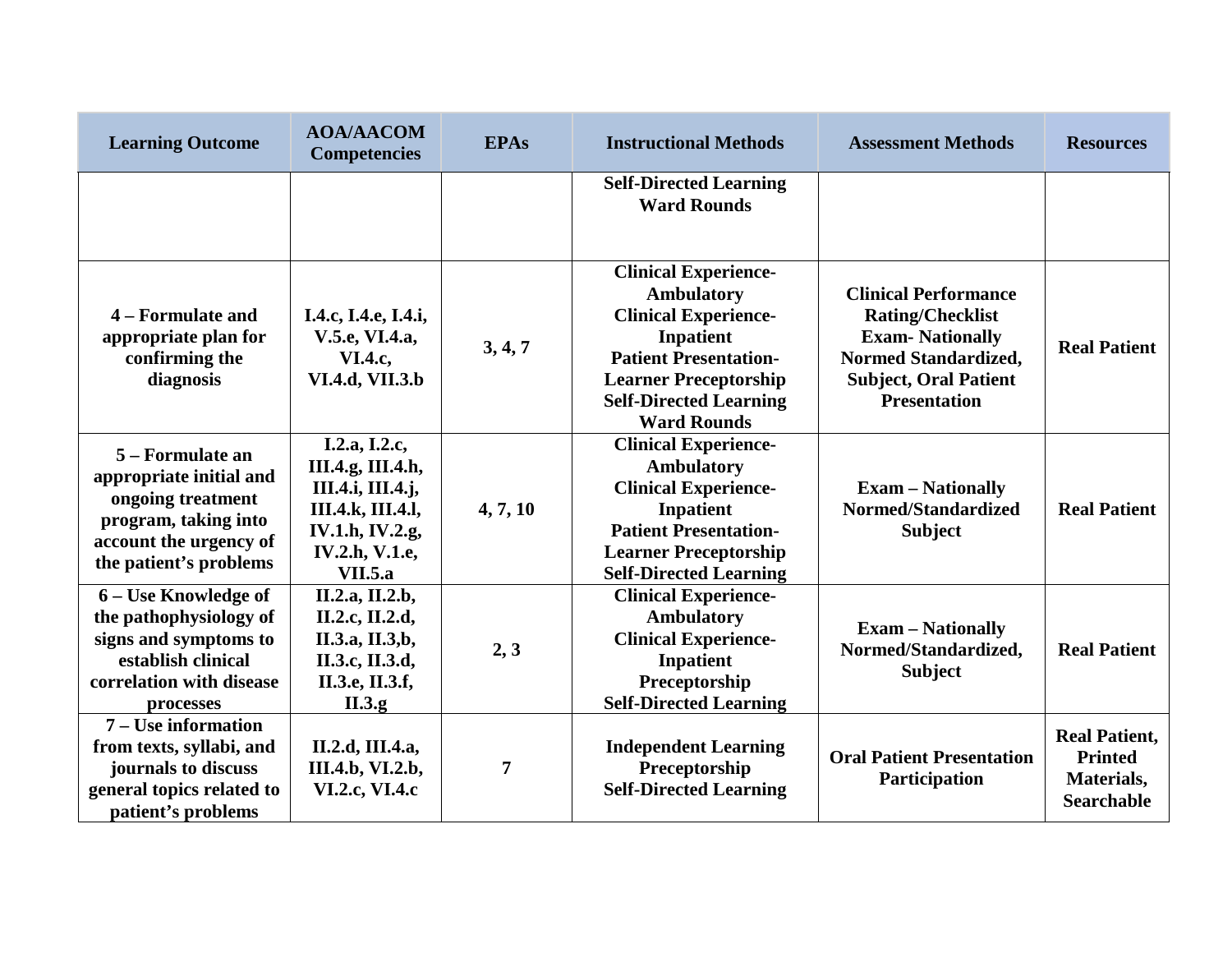| <b>Learning Outcome</b>                                                                                                                      | <b>AOA/AACOM</b><br><b>Competencies</b>                                                                                                           | <b>EPAs</b>    | <b>Instructional Methods</b>                                                                                                                                                                                        | <b>Assessment Methods</b>                                                                                                                                       | <b>Resources</b>                                                          |
|----------------------------------------------------------------------------------------------------------------------------------------------|---------------------------------------------------------------------------------------------------------------------------------------------------|----------------|---------------------------------------------------------------------------------------------------------------------------------------------------------------------------------------------------------------------|-----------------------------------------------------------------------------------------------------------------------------------------------------------------|---------------------------------------------------------------------------|
|                                                                                                                                              |                                                                                                                                                   |                | <b>Self-Directed Learning</b><br><b>Ward Rounds</b>                                                                                                                                                                 |                                                                                                                                                                 |                                                                           |
| 4 – Formulate and<br>appropriate plan for<br>confirming the<br>diagnosis                                                                     | I.4.c, I.4.e, I.4.i,<br>V.5.e, VI.4.a,<br><b>VI.4.c,</b><br>VI.4.d, VII.3.b                                                                       | 3, 4, 7        | <b>Clinical Experience-</b><br>Ambulatory<br><b>Clinical Experience-</b><br><b>Inpatient</b><br><b>Patient Presentation-</b><br><b>Learner Preceptorship</b><br><b>Self-Directed Learning</b><br><b>Ward Rounds</b> | <b>Clinical Performance</b><br><b>Rating/Checklist</b><br><b>Exam-Nationally</b><br>Normed Standardized,<br><b>Subject, Oral Patient</b><br><b>Presentation</b> | <b>Real Patient</b>                                                       |
| 5 – Formulate an<br>appropriate initial and<br>ongoing treatment<br>program, taking into<br>account the urgency of<br>the patient's problems | I.2.a, I.2.c,<br>III.4.g, III.4.h,<br>III.4.i, III.4.j,<br><b>III.4.k, III.4.l,</b><br>IV.1.h, IV.2.g,<br><b>IV.2.h, V.1.e,</b><br><b>VII.5.a</b> | 4, 7, 10       | <b>Clinical Experience-</b><br><b>Ambulatory</b><br><b>Clinical Experience-</b><br>Inpatient<br><b>Patient Presentation-</b><br><b>Learner Preceptorship</b><br><b>Self-Directed Learning</b>                       | <b>Exam – Nationally</b><br>Normed/Standardized<br><b>Subject</b>                                                                                               | <b>Real Patient</b>                                                       |
| 6 – Use Knowledge of<br>the pathophysiology of<br>signs and symptoms to<br>establish clinical<br>correlation with disease<br>processes       | II.2.a, II.2.b,<br>II.2.c, II.2.d,<br>II.3.a, II.3,b,<br>II.3.c, II.3.d,<br>II.3.e, II.3.f,<br>II.3.g.                                            | 2, 3           | <b>Clinical Experience-</b><br><b>Ambulatory</b><br><b>Clinical Experience-</b><br>Inpatient<br>Preceptorship<br><b>Self-Directed Learning</b>                                                                      | <b>Exam - Nationally</b><br>Normed/Standardized,<br><b>Subject</b>                                                                                              | <b>Real Patient</b>                                                       |
| 7 – Use information<br>from texts, syllabi, and<br>journals to discuss<br>general topics related to<br>patient's problems                    | II.2.d, III.4.a,<br>III.4.b, VI.2.b,<br>VI.2.c, VI.4.c                                                                                            | $\overline{7}$ | <b>Independent Learning</b><br>Preceptorship<br><b>Self-Directed Learning</b>                                                                                                                                       | <b>Oral Patient Presentation</b><br>Participation                                                                                                               | <b>Real Patient,</b><br><b>Printed</b><br>Materials,<br><b>Searchable</b> |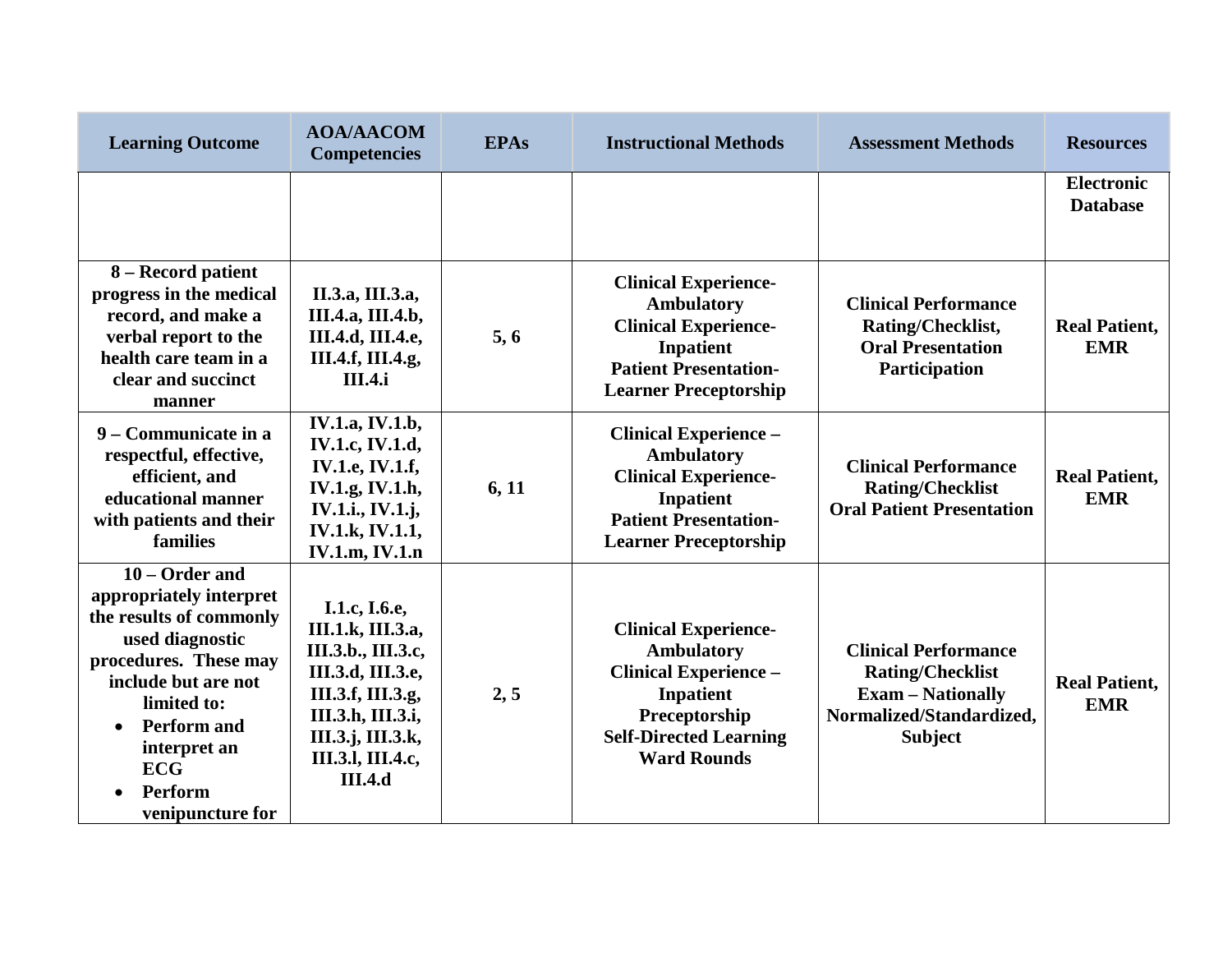| <b>Learning Outcome</b>                                                                                                                                                                                                                                             | <b>AOA/AACOM</b><br><b>Competencies</b>                                                                                                                                             | <b>EPAs</b> | <b>Instructional Methods</b>                                                                                                                                                 | <b>Assessment Methods</b>                                                                                                        | <b>Resources</b>                     |
|---------------------------------------------------------------------------------------------------------------------------------------------------------------------------------------------------------------------------------------------------------------------|-------------------------------------------------------------------------------------------------------------------------------------------------------------------------------------|-------------|------------------------------------------------------------------------------------------------------------------------------------------------------------------------------|----------------------------------------------------------------------------------------------------------------------------------|--------------------------------------|
|                                                                                                                                                                                                                                                                     |                                                                                                                                                                                     |             |                                                                                                                                                                              |                                                                                                                                  | <b>Electronic</b><br><b>Database</b> |
| 8 – Record patient<br>progress in the medical<br>record, and make a<br>verbal report to the<br>health care team in a<br>clear and succinct<br>manner                                                                                                                | II.3.a, III.3.a,<br>III.4.a, III.4.b,<br>III.4.d, III.4.e,<br>III.4.f, III.4.g,<br><b>III.4.i</b>                                                                                   | 5, 6        | <b>Clinical Experience-</b><br><b>Ambulatory</b><br><b>Clinical Experience-</b><br>Inpatient<br><b>Patient Presentation-</b><br><b>Learner Preceptorship</b>                 | <b>Clinical Performance</b><br>Rating/Checklist,<br><b>Oral Presentation</b><br>Participation                                    | <b>Real Patient,</b><br><b>EMR</b>   |
| 9 – Communicate in a<br>respectful, effective,<br>efficient, and<br>educational manner<br>with patients and their<br>families                                                                                                                                       | IV.1.a, IV.1.b,<br>IV.1.c, IV.1.d,<br><b>IV.1.e, IV.1.f,</b><br>IV.1.g, IV.1.h,<br><b>IV.1.i., IV.1.j,</b><br>IV.1.k, IV.1.1,<br><b>IV.1.m, IV.1.n</b>                              | 6, 11       | <b>Clinical Experience -</b><br><b>Ambulatory</b><br><b>Clinical Experience-</b><br>Inpatient<br><b>Patient Presentation-</b><br><b>Learner Preceptorship</b>                | <b>Clinical Performance</b><br><b>Rating/Checklist</b><br><b>Oral Patient Presentation</b>                                       | <b>Real Patient,</b><br><b>EMR</b>   |
| 10 – Order and<br>appropriately interpret<br>the results of commonly<br>used diagnostic<br>procedures. These may<br>include but are not<br>limited to:<br><b>Perform and</b><br>$\bullet$<br>interpret an<br><b>ECG</b><br>Perform<br>$\bullet$<br>venipuncture for | I.1.c, I.6.e,<br>III.1.k, III.3.a,<br>III.3.b., III.3.c,<br>III.3.d, III.3.e,<br>III.3.f, III.3.g,<br>III.3.h, III.3.i,<br>III.3.j, III.3.k,<br>III.3.1, III.4.c,<br><b>III.4.d</b> | 2, 5        | <b>Clinical Experience-</b><br><b>Ambulatory</b><br><b>Clinical Experience -</b><br><b>Inpatient</b><br>Preceptorship<br><b>Self-Directed Learning</b><br><b>Ward Rounds</b> | <b>Clinical Performance</b><br><b>Rating/Checklist</b><br><b>Exam - Nationally</b><br>Normalized/Standardized,<br><b>Subject</b> | <b>Real Patient,</b><br><b>EMR</b>   |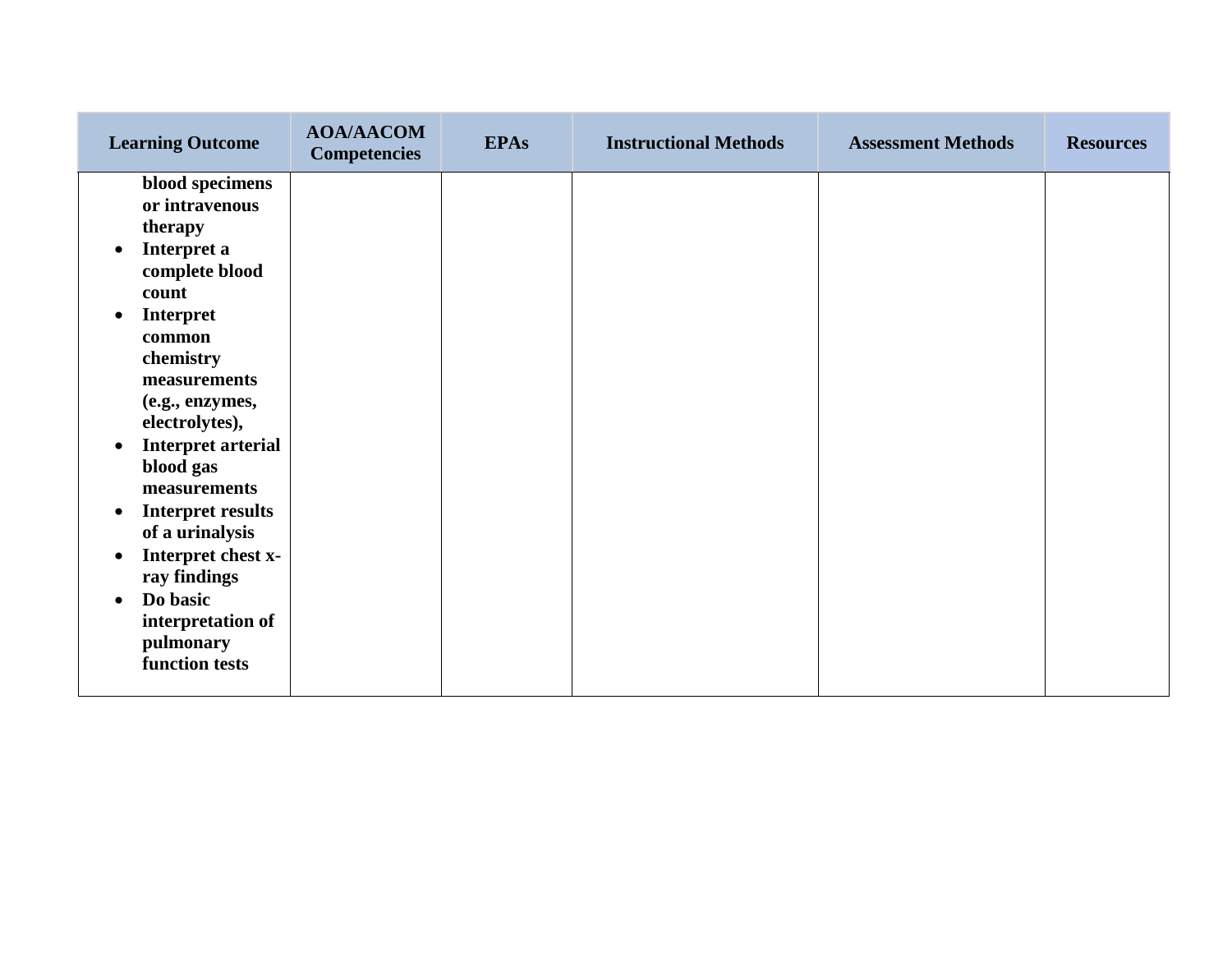| <b>Learning Outcome</b>                                                                                                                                                                                                                                                                                                                                                                                                                                                             | <b>AOA/AACOM</b><br><b>Competencies</b> | <b>EPAs</b> | <b>Instructional Methods</b> | <b>Assessment Methods</b> | <b>Resources</b> |
|-------------------------------------------------------------------------------------------------------------------------------------------------------------------------------------------------------------------------------------------------------------------------------------------------------------------------------------------------------------------------------------------------------------------------------------------------------------------------------------|-----------------------------------------|-------------|------------------------------|---------------------------|------------------|
| blood specimens<br>or intravenous<br>therapy<br>Interpret a<br>$\bullet$<br>complete blood<br>count<br><b>Interpret</b><br>$\bullet$<br>common<br>chemistry<br>measurements<br>(e.g., enzymes,<br>electrolytes),<br><b>Interpret arterial</b><br>$\bullet$<br>blood gas<br>measurements<br><b>Interpret results</b><br>$\bullet$<br>of a urinalysis<br>Interpret chest x-<br>$\bullet$<br>ray findings<br>Do basic<br>$\bullet$<br>interpretation of<br>pulmonary<br>function tests |                                         |             |                              |                           |                  |
|                                                                                                                                                                                                                                                                                                                                                                                                                                                                                     |                                         |             |                              |                           |                  |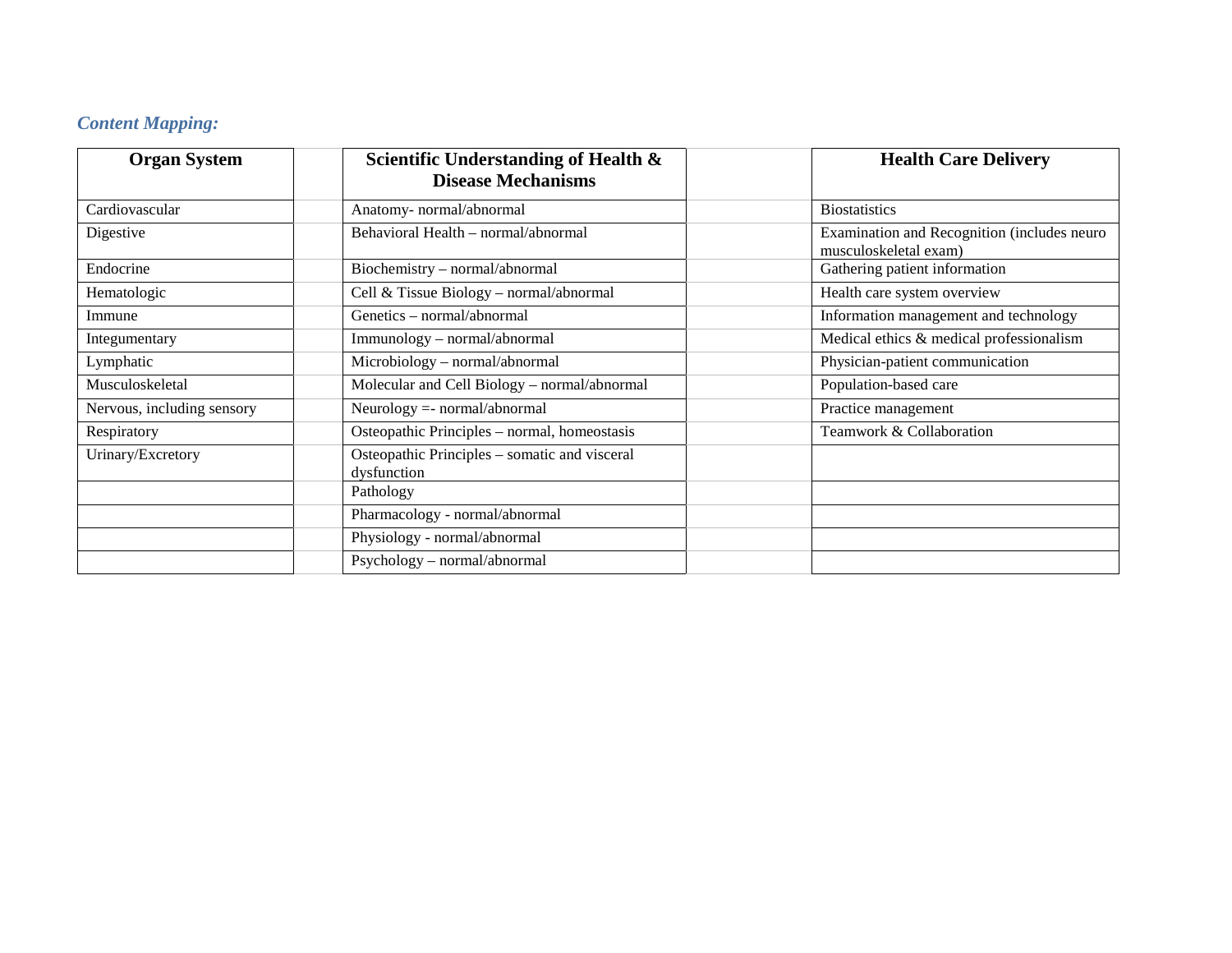# *Content Mapping:*

| <b>Organ System</b>        | Scientific Understanding of Health &<br><b>Disease Mechanisms</b> | <b>Health Care Delivery</b>                                          |
|----------------------------|-------------------------------------------------------------------|----------------------------------------------------------------------|
| Cardiovascular             | Anatomy- normal/abnormal                                          | <b>Biostatistics</b>                                                 |
| Digestive                  | Behavioral Health - normal/abnormal                               | Examination and Recognition (includes neuro<br>musculoskeletal exam) |
| Endocrine                  | Biochemistry - normal/abnormal                                    | Gathering patient information                                        |
| Hematologic                | Cell & Tissue Biology - normal/abnormal                           | Health care system overview                                          |
| Immune                     | Genetics - normal/abnormal                                        | Information management and technology                                |
| Integumentary              | Immunology - normal/abnormal                                      | Medical ethics & medical professionalism                             |
| Lymphatic                  | Microbiology - normal/abnormal                                    | Physician-patient communication                                      |
| Musculoskeletal            | Molecular and Cell Biology - normal/abnormal                      | Population-based care                                                |
| Nervous, including sensory | Neurology = - normal/abnormal                                     | Practice management                                                  |
| Respiratory                | Osteopathic Principles - normal, homeostasis                      | Teamwork & Collaboration                                             |
| Urinary/Excretory          | Osteopathic Principles – somatic and visceral<br>dysfunction      |                                                                      |
|                            | Pathology                                                         |                                                                      |
|                            | Pharmacology - normal/abnormal                                    |                                                                      |
|                            | Physiology - normal/abnormal                                      |                                                                      |
|                            | Psychology - normal/abnormal                                      |                                                                      |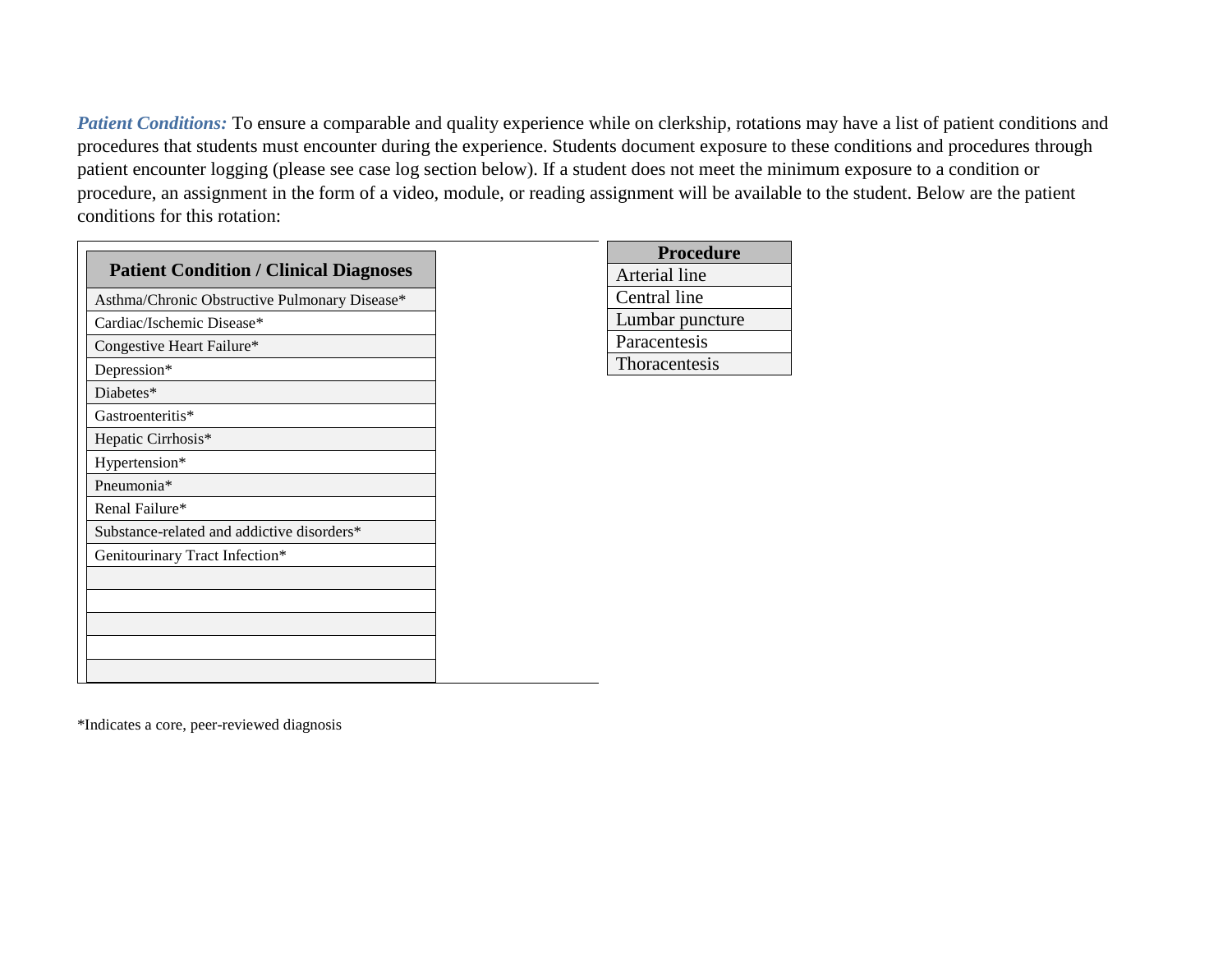*Patient Conditions:* To ensure a comparable and quality experience while on clerkship, rotations may have a list of patient conditions and procedures that students must encounter during the experience. Students document exposure to these conditions and procedures through patient encounter logging (please see case log section below). If a student does not meet the minimum exposure to a condition or procedure, an assignment in the form of a video, module, or reading assignment will be available to the student. Below are the patient conditions for this rotation:

| <b>Patient Condition / Clinical Diagnoses</b> |
|-----------------------------------------------|
| Asthma/Chronic Obstructive Pulmonary Disease* |
| Cardiac/Ischemic Disease*                     |
| Congestive Heart Failure*                     |
| Depression*                                   |
| Diabetes*                                     |
| Gastroenteritis*                              |
| Hepatic Cirrhosis*                            |
| Hypertension*                                 |
| Pneumonia*                                    |
| Renal Failure*                                |
| Substance-related and addictive disorders*    |
| Genitourinary Tract Infection*                |
|                                               |
|                                               |
|                                               |
|                                               |
|                                               |

| <b>Procedure</b> |
|------------------|
| Arterial line    |
| Central line     |
| Lumbar puncture  |
| Paracentesis     |
| Thoracentesis    |

\*Indicates a core, peer-reviewed diagnosis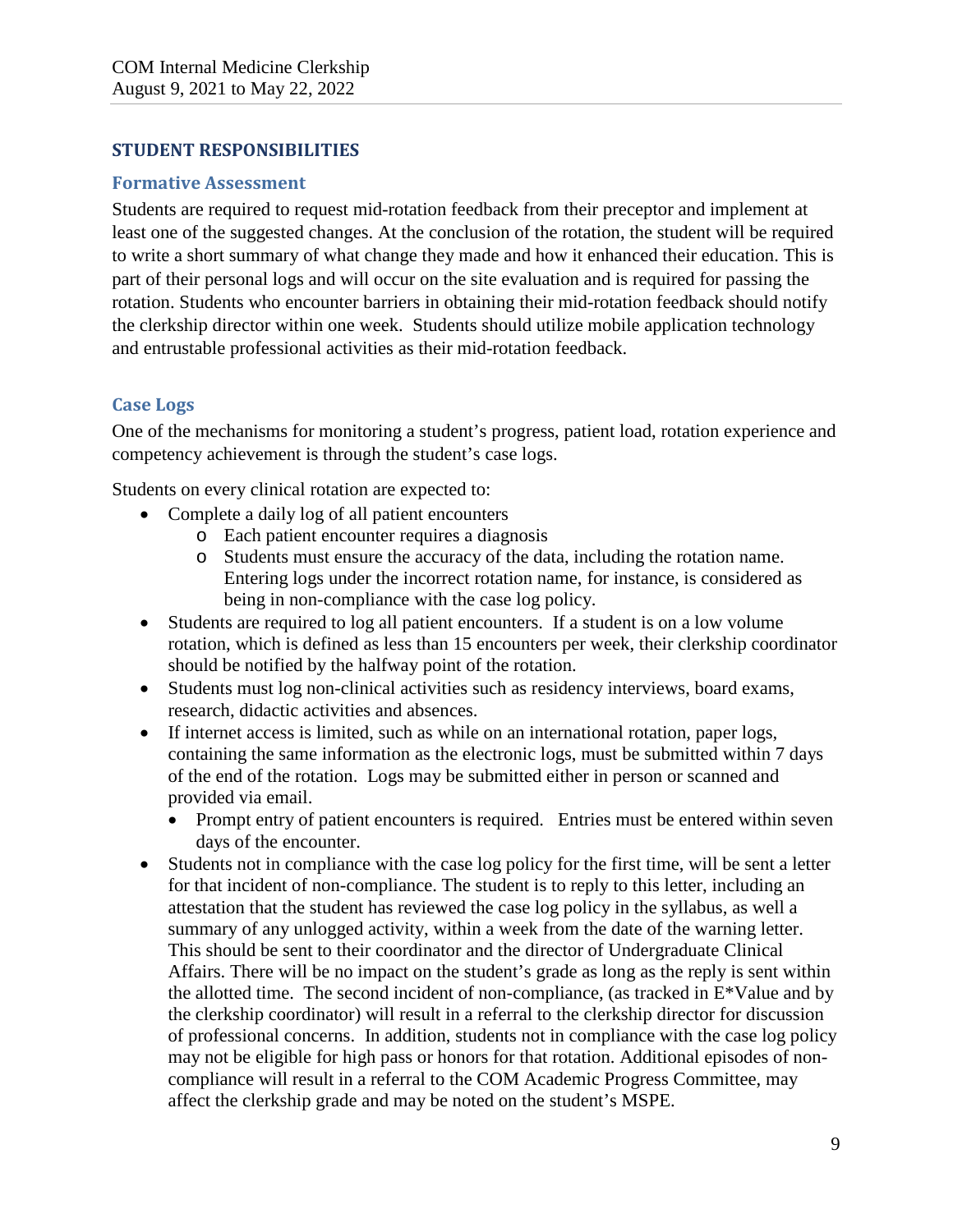### **STUDENT RESPONSIBILITIES**

#### **Formative Assessment**

Students are required to request mid-rotation feedback from their preceptor and implement at least one of the suggested changes. At the conclusion of the rotation, the student will be required to write a short summary of what change they made and how it enhanced their education. This is part of their personal logs and will occur on the site evaluation and is required for passing the rotation. Students who encounter barriers in obtaining their mid-rotation feedback should notify the clerkship director within one week. Students should utilize mobile application technology and entrustable professional activities as their mid-rotation feedback.

### **Case Logs**

One of the mechanisms for monitoring a student's progress, patient load, rotation experience and competency achievement is through the student's case logs.

Students on every clinical rotation are expected to:

- Complete a daily log of all patient encounters
	- o Each patient encounter requires a diagnosis
	- o Students must ensure the accuracy of the data, including the rotation name. Entering logs under the incorrect rotation name, for instance, is considered as being in non-compliance with the case log policy.
- Students are required to log all patient encounters. If a student is on a low volume rotation, which is defined as less than 15 encounters per week, their clerkship coordinator should be notified by the halfway point of the rotation.
- Students must log non-clinical activities such as residency interviews, board exams, research, didactic activities and absences.
- If internet access is limited, such as while on an international rotation, paper logs, containing the same information as the electronic logs, must be submitted within 7 days of the end of the rotation. Logs may be submitted either in person or scanned and provided via email.
	- Prompt entry of patient encounters is required. Entries must be entered within seven days of the encounter.
- Students not in compliance with the case log policy for the first time, will be sent a letter for that incident of non-compliance. The student is to reply to this letter, including an attestation that the student has reviewed the case log policy in the syllabus, as well a summary of any unlogged activity, within a week from the date of the warning letter. This should be sent to their coordinator and the director of Undergraduate Clinical Affairs. There will be no impact on the student's grade as long as the reply is sent within the allotted time. The second incident of non-compliance, (as tracked in E\*Value and by the clerkship coordinator) will result in a referral to the clerkship director for discussion of professional concerns. In addition, students not in compliance with the case log policy may not be eligible for high pass or honors for that rotation. Additional episodes of noncompliance will result in a referral to the COM Academic Progress Committee, may affect the clerkship grade and may be noted on the student's MSPE.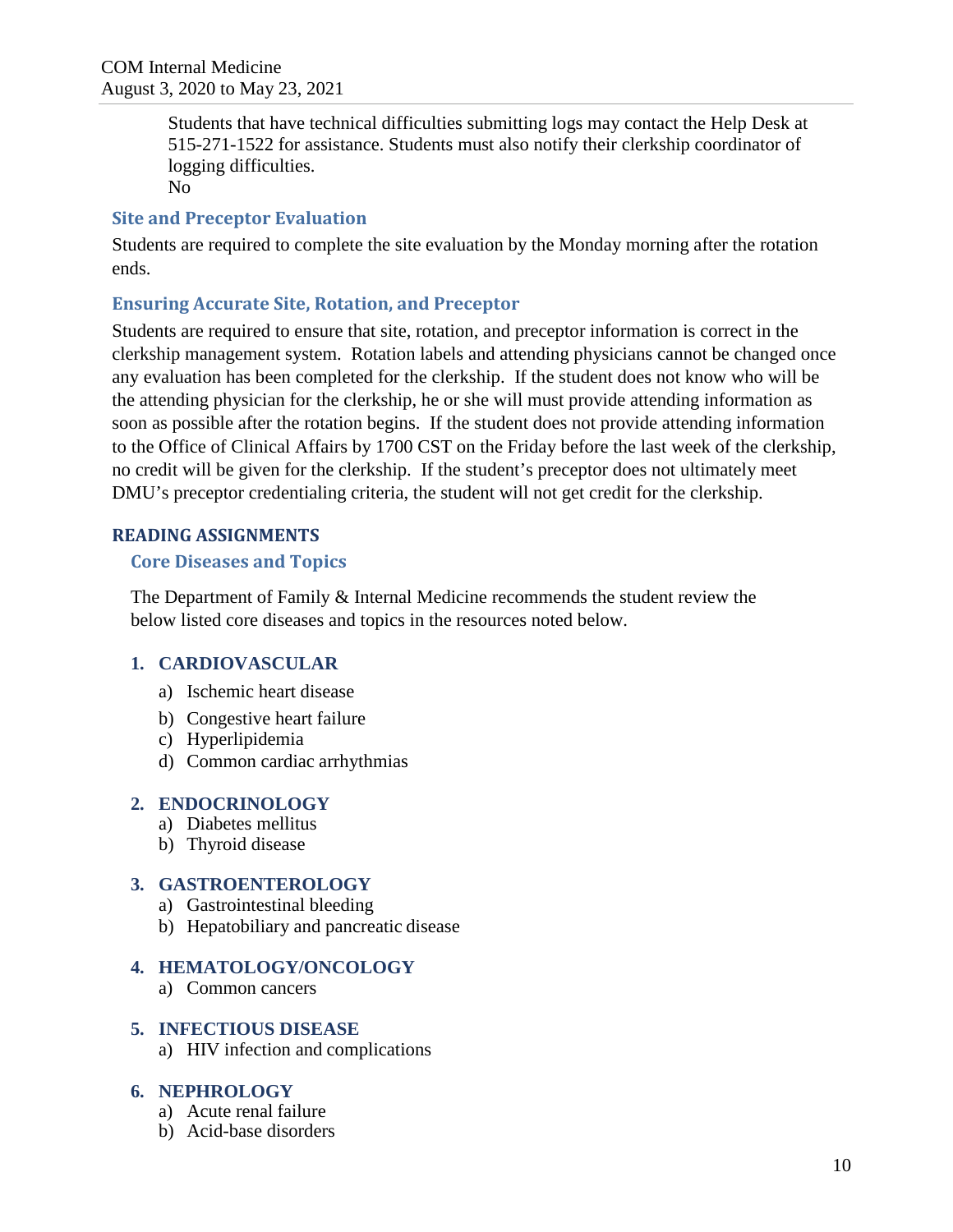Students that have technical difficulties submitting logs may contact the Help Desk at 515-271-1522 for assistance. Students must also notify their clerkship coordinator of logging difficulties.

No

### **Site and Preceptor Evaluation**

Students are required to complete the site evaluation by the Monday morning after the rotation ends.

### **Ensuring Accurate Site, Rotation, and Preceptor**

Students are required to ensure that site, rotation, and preceptor information is correct in the clerkship management system. Rotation labels and attending physicians cannot be changed once any evaluation has been completed for the clerkship. If the student does not know who will be the attending physician for the clerkship, he or she will must provide attending information as soon as possible after the rotation begins. If the student does not provide attending information to the Office of Clinical Affairs by 1700 CST on the Friday before the last week of the clerkship, no credit will be given for the clerkship. If the student's preceptor does not ultimately meet DMU's preceptor credentialing criteria, the student will not get credit for the clerkship.

### **READING ASSIGNMENTS**

### **Core Diseases and Topics**

The Department of Family & Internal Medicine recommends the student review the below listed core diseases and topics in the resources noted below.

### **1. CARDIOVASCULAR**

- a) Ischemic heart disease
- b) Congestive heart failure
- c) Hyperlipidemia
- d) Common cardiac arrhythmias

### **2. ENDOCRINOLOGY**

- a) Diabetes mellitus
- b) Thyroid disease

#### **3. GASTROENTEROLOGY**

- a) Gastrointestinal bleeding
- b) Hepatobiliary and pancreatic disease

#### **4. HEMATOLOGY/ONCOLOGY**

a) Common cancers

#### **5. INFECTIOUS DISEASE**

a) HIV infection and complications

#### **6. NEPHROLOGY**

- a) Acute renal failure
- b) Acid-base disorders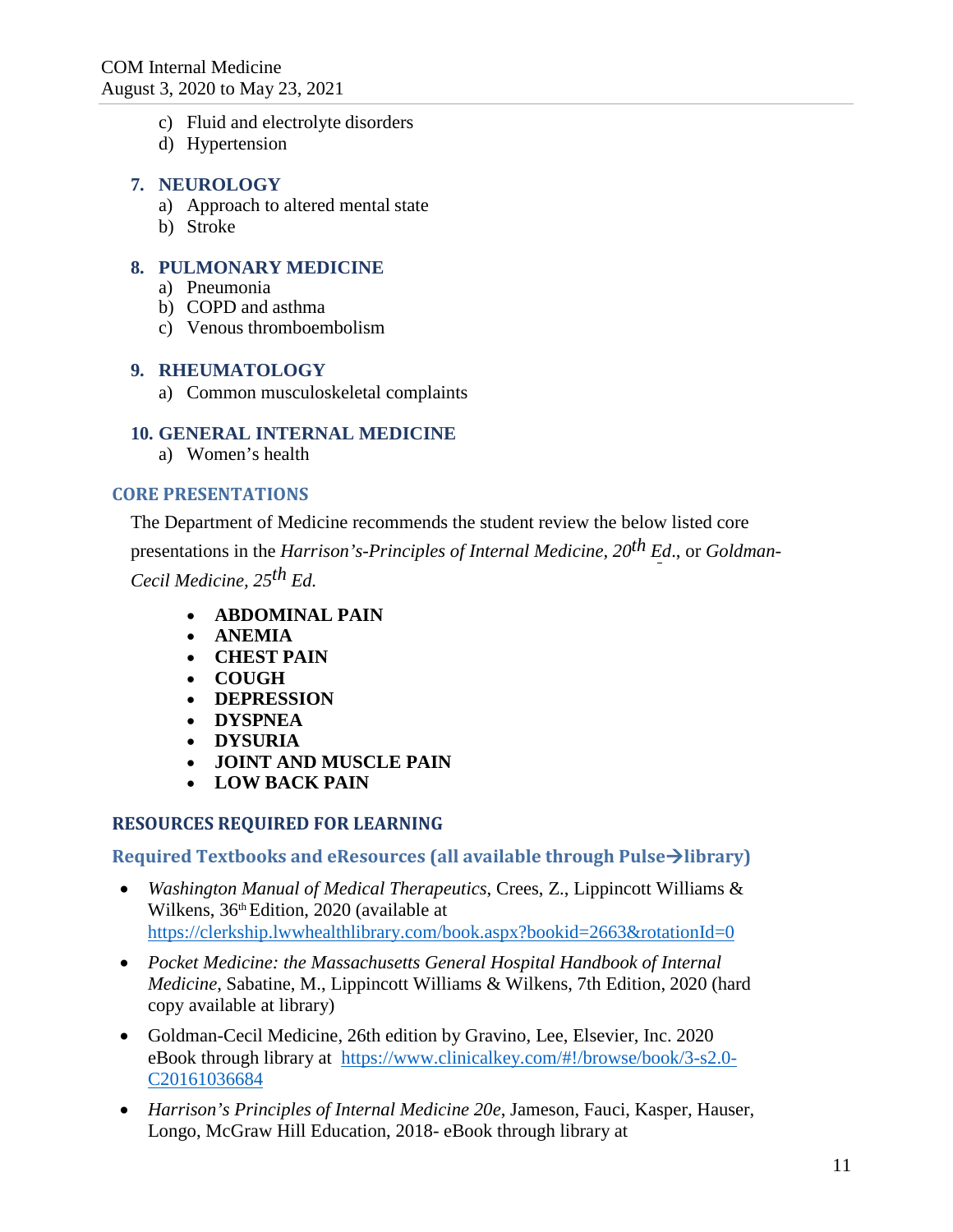- c) Fluid and electrolyte disorders
- d) Hypertension

#### **7. NEUROLOGY**

- a) Approach to altered mental state
- b) Stroke

#### **8. PULMONARY MEDICINE**

- a) Pneumonia
- b) COPD and asthma
- c) Venous thromboembolism

#### **9. RHEUMATOLOGY**

a) Common musculoskeletal complaints

#### **10. GENERAL INTERNAL MEDICINE**

a) Women's health

#### **CORE PRESENTATIONS**

The Department of Medicine recommends the student review the below listed core presentations in the *Harrison's-Principles of Internal Medicine, 20th Ed*., or *Goldman-Cecil Medicine, 25th Ed.*

- **ABDOMINAL PAIN**
- **ANEMIA**
- **CHEST PAIN**
- **COUGH**
- **DEPRESSION**
- **DYSPNEA**
- **DYSURIA**
- **JOINT AND MUSCLE PAIN**
- **LOW BACK PAIN**

#### **RESOURCES REQUIRED FOR LEARNING**

**Required Textbooks and eResources (all available through Pulselibrary)**

- *Washington Manual of Medical Therapeutics*, Crees, Z., Lippincott Williams & Wilkens, 36<sup>th</sup> Edition, 2020 (available at <https://clerkship.lwwhealthlibrary.com/book.aspx?bookid=2663&rotationId=0>
- *Pocket Medicine: the Massachusetts General Hospital Handbook of Internal Medicine*, Sabatine, M., Lippincott Williams & Wilkens, 7th Edition, 2020 (hard copy available at library)
- Goldman-Cecil Medicine, 26th edition by Gravino, Lee, Elsevier, Inc. 2020 eBook through library at [https://www.clinicalkey.com/#!/browse/book/3-s2.0-](https://www.clinicalkey.com/#!/browse/book/3-s2.0-C20161036684) [C20161036684](https://www.clinicalkey.com/#!/browse/book/3-s2.0-C20161036684)
- *Harrison's Principles of Internal Medicine 20e*, Jameson, Fauci, Kasper, Hauser, Longo, McGraw Hill Education, 2018- eBook through library at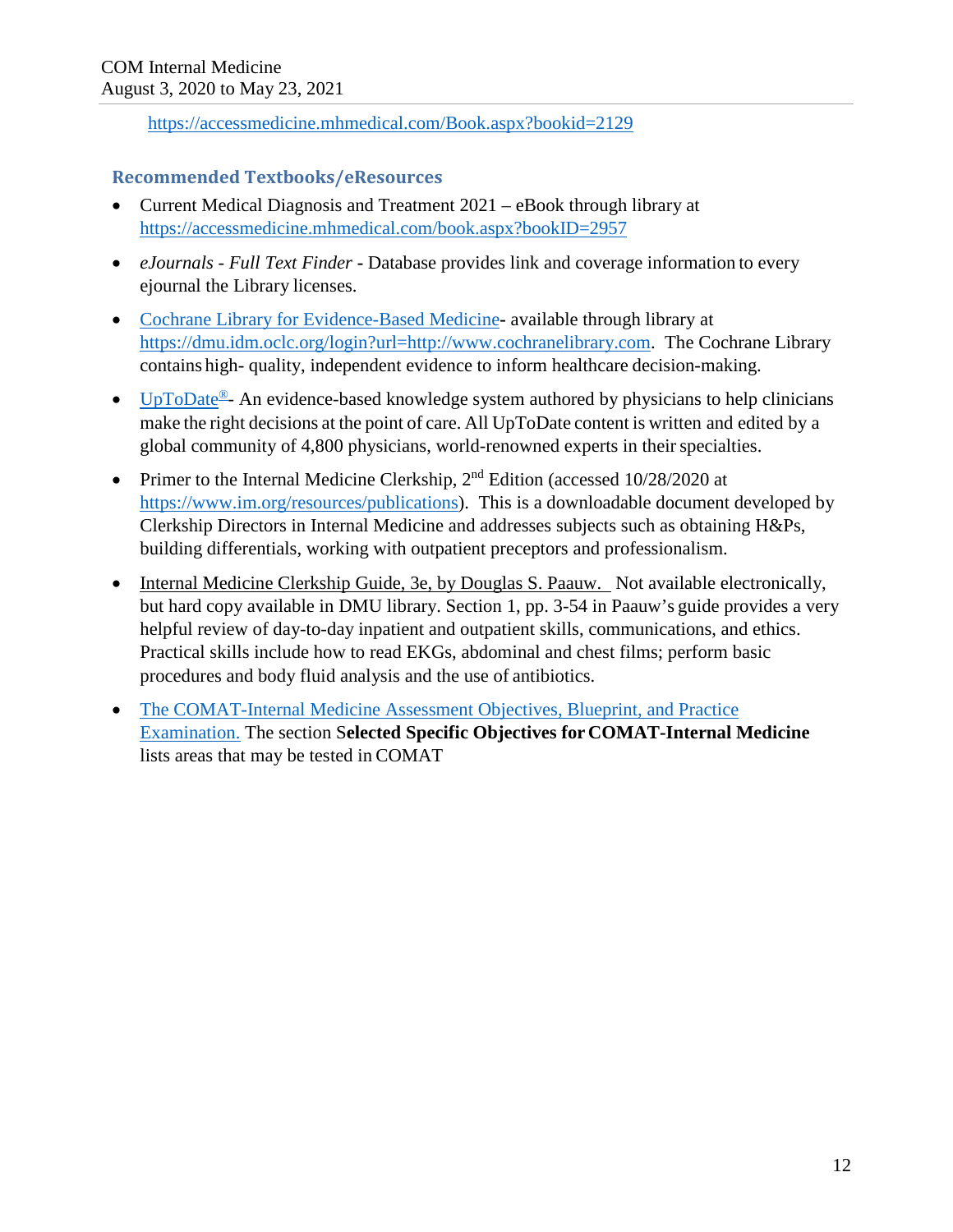<https://accessmedicine.mhmedical.com/Book.aspx?bookid=2129>

### **Recommended Textbooks/eResources**

- Current Medical Diagnosis and Treatment 2021 eBook through library at <https://accessmedicine.mhmedical.com/book.aspx?bookID=2957>
- *eJournals - Full Text Finder* **-** Database provides link and coverage information to every ejournal the Library licenses.
- [Cochrane Library for Evidence-Based Medicine](https://www.cochranelibrary.com/)**-** available through library at [https://dmu.idm.oclc.org/login?url=http://www.cochranelibrary.com.](https://dmu.idm.oclc.org/login?url=http://www.cochranelibrary.com) The Cochrane Library contains high- quality, independent evidence to inform healthcare decision-making.
- [UpToDate](https://dmu.idm.oclc.org/)<sup>®</sup>- An evidence-based knowledge system authored by physicians to help clinicians make the right decisions at the point of care. All UpToDate content is written and edited by a global community of 4,800 physicians, world-renowned experts in their specialties.
- Primer to the Internal Medicine Clerkship, 2<sup>nd</sup> Edition (accessed 10/28/2020 at [https://www.im.org/resources/publications\)](https://www.im.org/resources/publications). This is a downloadable document developed by Clerkship Directors in Internal Medicine and addresses subjects such as obtaining H&Ps, building differentials, working with outpatient preceptors and professionalism.
- Internal Medicine Clerkship Guide, 3e, by Douglas S. Paauw. Not available electronically, but hard copy available in DMU library. Section 1, pp. 3-54 in Paauw's guide provides a very helpful review of day-to-day inpatient and outpatient skills, communications, and ethics. Practical skills include how to read EKGs, abdominal and chest films; perform basic procedures and body fluid analysis and the use of antibiotics.
- [The COMAT-Internal Medicine Assessment Objectives, Blueprint, and Practice](https://www.nbome.org/exams-assessments/comat/clinical-subjects/comat-internal-medicine/) [Examination.](https://www.nbome.org/exams-assessments/comat/clinical-subjects/comat-internal-medicine/) The section S**elected Specific Objectives for COMAT-Internal Medicine**  lists areas that may be tested in COMAT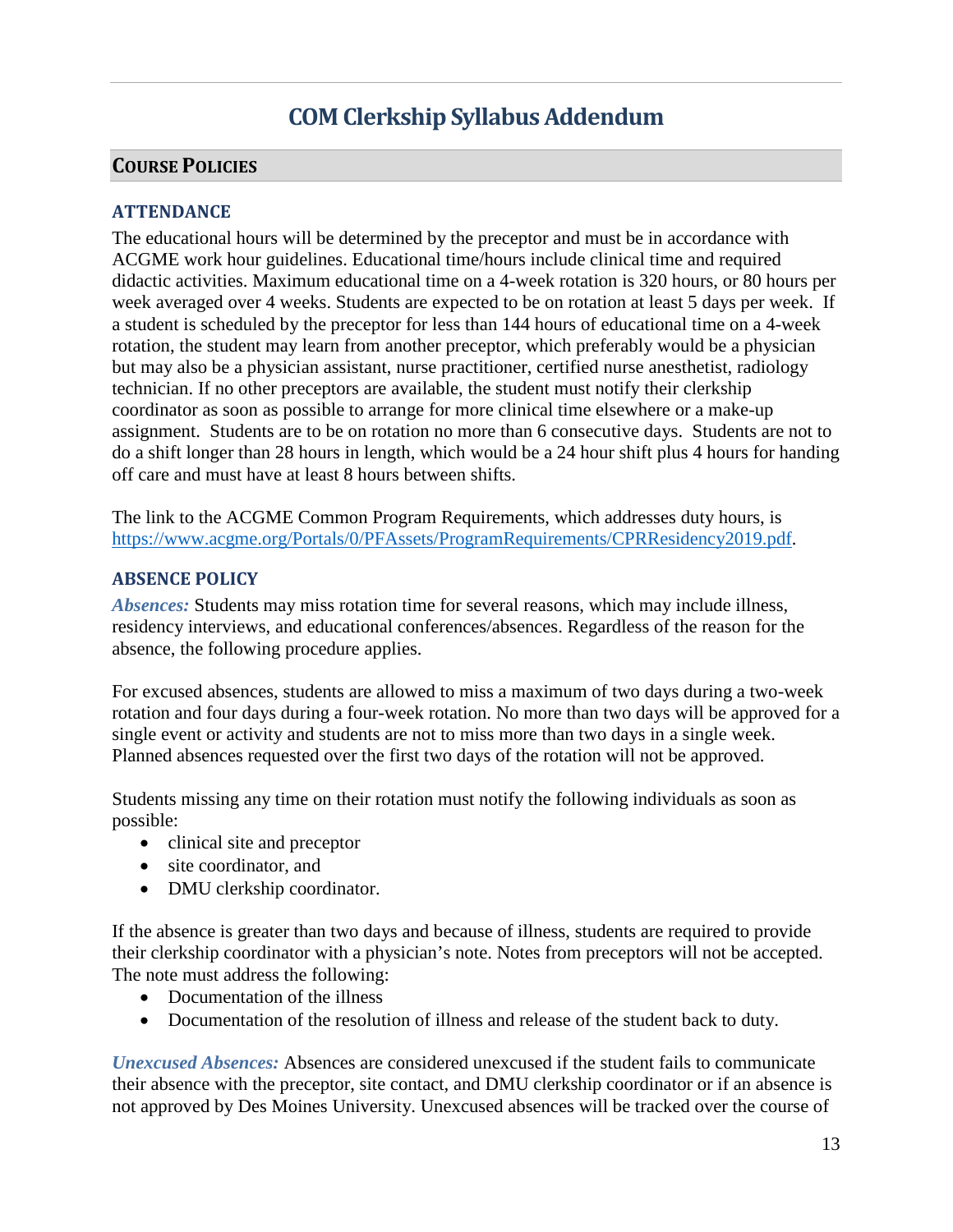# **COM Clerkship Syllabus Addendum**

### **COURSE POLICIES**

### **ATTENDANCE**

The educational hours will be determined by the preceptor and must be in accordance with ACGME work hour guidelines. Educational time/hours include clinical time and required didactic activities. Maximum educational time on a 4-week rotation is 320 hours, or 80 hours per week averaged over 4 weeks. Students are expected to be on rotation at least 5 days per week. If a student is scheduled by the preceptor for less than 144 hours of educational time on a 4-week rotation, the student may learn from another preceptor, which preferably would be a physician but may also be a physician assistant, nurse practitioner, certified nurse anesthetist, radiology technician. If no other preceptors are available, the student must notify their clerkship coordinator as soon as possible to arrange for more clinical time elsewhere or a make-up assignment. Students are to be on rotation no more than 6 consecutive days. Students are not to do a shift longer than 28 hours in length, which would be a 24 hour shift plus 4 hours for handing off care and must have at least 8 hours between shifts.

The link to the ACGME Common Program Requirements, which addresses duty hours, is [https://www.acgme.org/Portals/0/PFAssets/ProgramRequirements/CPRResidency2019.pdf.](https://www.acgme.org/Portals/0/PFAssets/ProgramRequirements/CPRResidency2019.pdf)

#### **ABSENCE POLICY**

*Absences:* Students may miss rotation time for several reasons, which may include illness, residency interviews, and educational conferences/absences. Regardless of the reason for the absence, the following procedure applies.

For excused absences, students are allowed to miss a maximum of two days during a two-week rotation and four days during a four-week rotation. No more than two days will be approved for a single event or activity and students are not to miss more than two days in a single week. Planned absences requested over the first two days of the rotation will not be approved.

Students missing any time on their rotation must notify the following individuals as soon as possible:

- clinical site and preceptor
- site coordinator, and
- DMU clerkship coordinator.

If the absence is greater than two days and because of illness, students are required to provide their clerkship coordinator with a physician's note. Notes from preceptors will not be accepted. The note must address the following:

- Documentation of the illness
- Documentation of the resolution of illness and release of the student back to duty.

*Unexcused Absences:* Absences are considered unexcused if the student fails to communicate their absence with the preceptor, site contact, and DMU clerkship coordinator or if an absence is not approved by Des Moines University. Unexcused absences will be tracked over the course of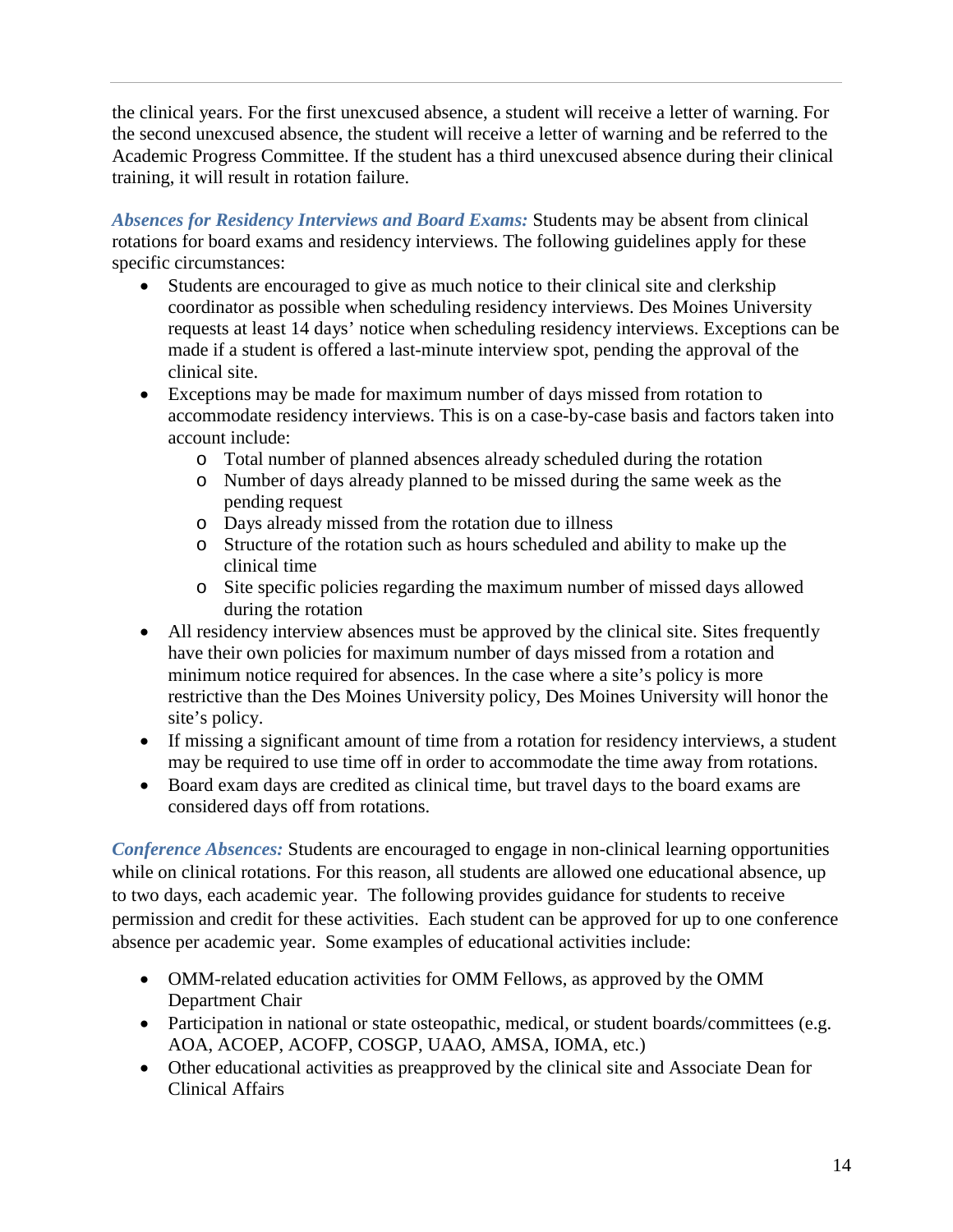the clinical years. For the first unexcused absence, a student will receive a letter of warning. For the second unexcused absence, the student will receive a letter of warning and be referred to the Academic Progress Committee. If the student has a third unexcused absence during their clinical training, it will result in rotation failure.

*Absences for Residency Interviews and Board Exams:* Students may be absent from clinical rotations for board exams and residency interviews. The following guidelines apply for these specific circumstances:

- Students are encouraged to give as much notice to their clinical site and clerkship coordinator as possible when scheduling residency interviews. Des Moines University requests at least 14 days' notice when scheduling residency interviews. Exceptions can be made if a student is offered a last-minute interview spot, pending the approval of the clinical site.
- Exceptions may be made for maximum number of days missed from rotation to accommodate residency interviews. This is on a case-by-case basis and factors taken into account include:
	- o Total number of planned absences already scheduled during the rotation
	- o Number of days already planned to be missed during the same week as the pending request
	- o Days already missed from the rotation due to illness
	- o Structure of the rotation such as hours scheduled and ability to make up the clinical time
	- o Site specific policies regarding the maximum number of missed days allowed during the rotation
- All residency interview absences must be approved by the clinical site. Sites frequently have their own policies for maximum number of days missed from a rotation and minimum notice required for absences. In the case where a site's policy is more restrictive than the Des Moines University policy, Des Moines University will honor the site's policy.
- If missing a significant amount of time from a rotation for residency interviews, a student may be required to use time off in order to accommodate the time away from rotations.
- Board exam days are credited as clinical time, but travel days to the board exams are considered days off from rotations.

*Conference Absences:* Students are encouraged to engage in non-clinical learning opportunities while on clinical rotations. For this reason, all students are allowed one educational absence, up to two days, each academic year. The following provides guidance for students to receive permission and credit for these activities. Each student can be approved for up to one conference absence per academic year. Some examples of educational activities include:

- OMM-related education activities for OMM Fellows, as approved by the OMM Department Chair
- Participation in national or state osteopathic, medical, or student boards/committees (e.g. AOA, ACOEP, ACOFP, COSGP, UAAO, AMSA, IOMA, etc.)
- Other educational activities as preapproved by the clinical site and Associate Dean for Clinical Affairs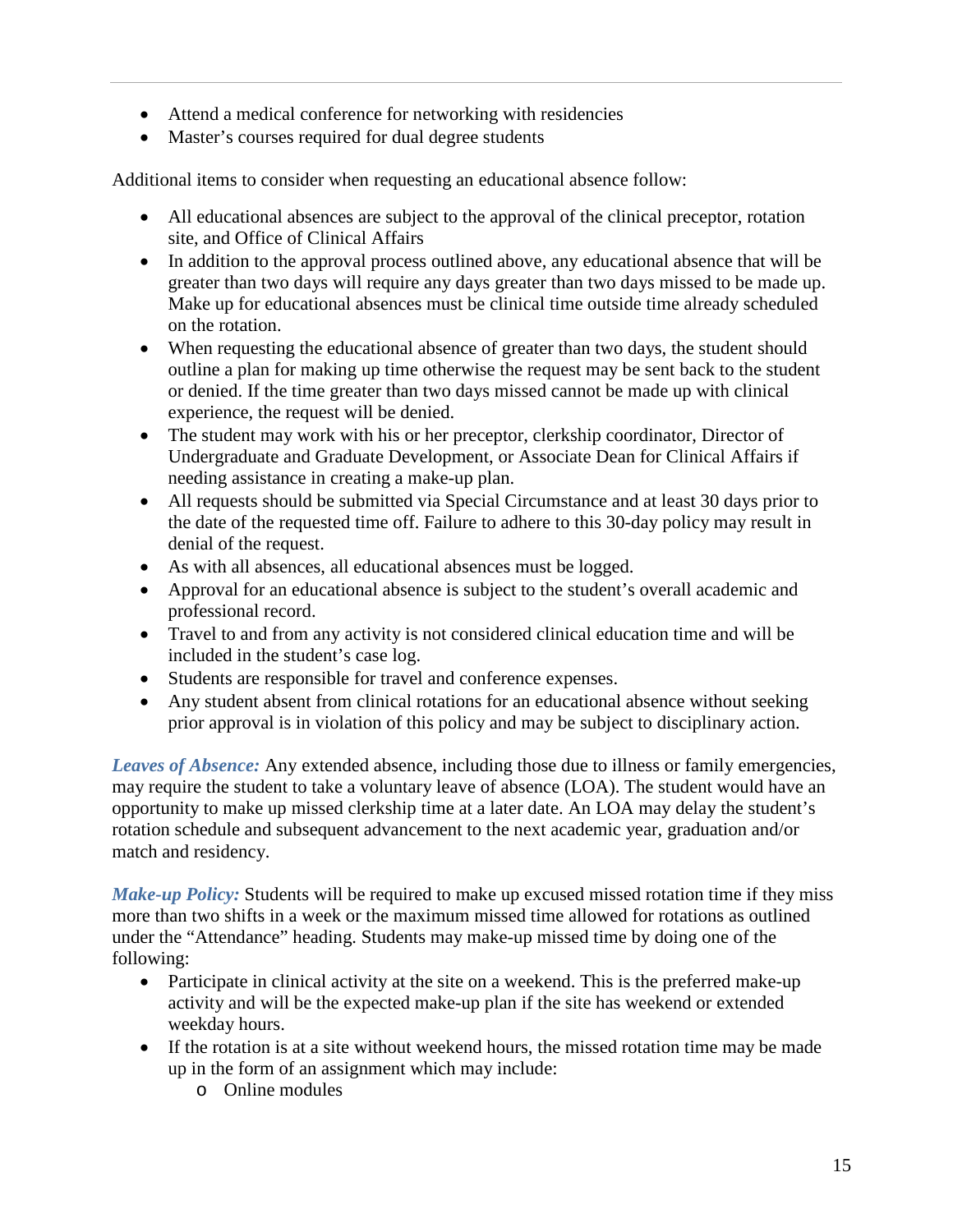- Attend a medical conference for networking with residencies
- Master's courses required for dual degree students

Additional items to consider when requesting an educational absence follow:

- All educational absences are subject to the approval of the clinical preceptor, rotation site, and Office of Clinical Affairs
- In addition to the approval process outlined above, any educational absence that will be greater than two days will require any days greater than two days missed to be made up. Make up for educational absences must be clinical time outside time already scheduled on the rotation.
- When requesting the educational absence of greater than two days, the student should outline a plan for making up time otherwise the request may be sent back to the student or denied. If the time greater than two days missed cannot be made up with clinical experience, the request will be denied.
- The student may work with his or her preceptor, clerkship coordinator, Director of Undergraduate and Graduate Development, or Associate Dean for Clinical Affairs if needing assistance in creating a make-up plan.
- All requests should be submitted via Special Circumstance and at least 30 days prior to the date of the requested time off. Failure to adhere to this 30-day policy may result in denial of the request.
- As with all absences, all educational absences must be logged.
- Approval for an educational absence is subject to the student's overall academic and professional record.
- Travel to and from any activity is not considered clinical education time and will be included in the student's case log.
- Students are responsible for travel and conference expenses.
- Any student absent from clinical rotations for an educational absence without seeking prior approval is in violation of this policy and may be subject to disciplinary action.

*Leaves of Absence:* Any extended absence, including those due to illness or family emergencies, may require the student to take a voluntary leave of absence (LOA). The student would have an opportunity to make up missed clerkship time at a later date. An LOA may delay the student's rotation schedule and subsequent advancement to the next academic year, graduation and/or match and residency.

*Make-up Policy:* Students will be required to make up excused missed rotation time if they miss more than two shifts in a week or the maximum missed time allowed for rotations as outlined under the "Attendance" heading. Students may make-up missed time by doing one of the following:

- Participate in clinical activity at the site on a weekend. This is the preferred make-up activity and will be the expected make-up plan if the site has weekend or extended weekday hours.
- If the rotation is at a site without weekend hours, the missed rotation time may be made up in the form of an assignment which may include:
	- o Online modules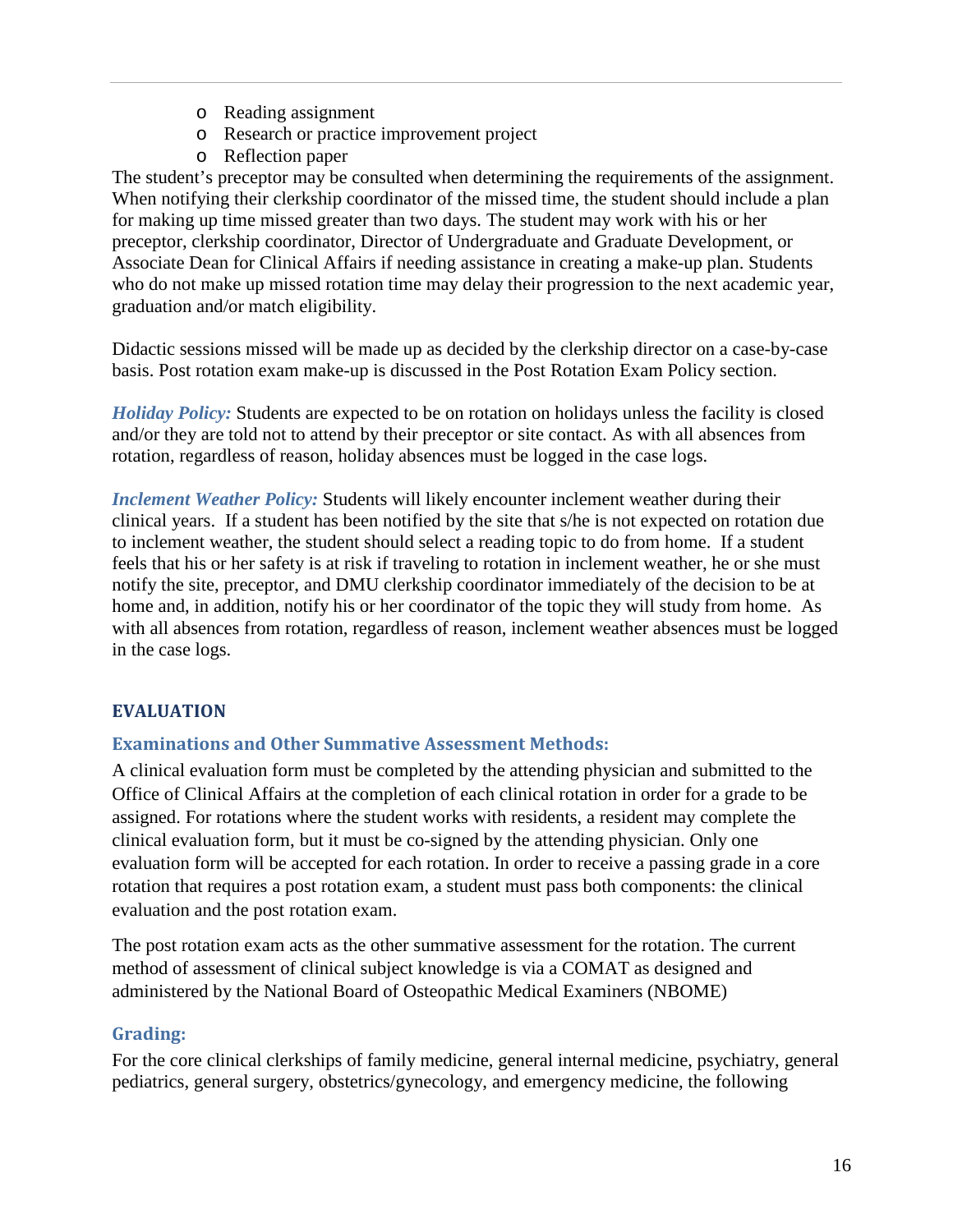- o Reading assignment
- o Research or practice improvement project
- o Reflection paper

The student's preceptor may be consulted when determining the requirements of the assignment. When notifying their clerkship coordinator of the missed time, the student should include a plan for making up time missed greater than two days. The student may work with his or her preceptor, clerkship coordinator, Director of Undergraduate and Graduate Development, or Associate Dean for Clinical Affairs if needing assistance in creating a make-up plan. Students who do not make up missed rotation time may delay their progression to the next academic year, graduation and/or match eligibility.

Didactic sessions missed will be made up as decided by the clerkship director on a case-by-case basis. Post rotation exam make-up is discussed in the Post Rotation Exam Policy section.

*Holiday Policy:* Students are expected to be on rotation on holidays unless the facility is closed and/or they are told not to attend by their preceptor or site contact. As with all absences from rotation, regardless of reason, holiday absences must be logged in the case logs.

*Inclement Weather Policy:* Students will likely encounter inclement weather during their clinical years. If a student has been notified by the site that s/he is not expected on rotation due to inclement weather, the student should select a reading topic to do from home. If a student feels that his or her safety is at risk if traveling to rotation in inclement weather, he or she must notify the site, preceptor, and DMU clerkship coordinator immediately of the decision to be at home and, in addition, notify his or her coordinator of the topic they will study from home. As with all absences from rotation, regardless of reason, inclement weather absences must be logged in the case logs.

## **EVALUATION**

### **Examinations and Other Summative Assessment Methods:**

A clinical evaluation form must be completed by the attending physician and submitted to the Office of Clinical Affairs at the completion of each clinical rotation in order for a grade to be assigned. For rotations where the student works with residents, a resident may complete the clinical evaluation form, but it must be co-signed by the attending physician. Only one evaluation form will be accepted for each rotation. In order to receive a passing grade in a core rotation that requires a post rotation exam, a student must pass both components: the clinical evaluation and the post rotation exam.

The post rotation exam acts as the other summative assessment for the rotation. The current method of assessment of clinical subject knowledge is via a COMAT as designed and administered by the National Board of Osteopathic Medical Examiners (NBOME)

### **Grading:**

For the core clinical clerkships of family medicine, general internal medicine, psychiatry, general pediatrics, general surgery, obstetrics/gynecology, and emergency medicine, the following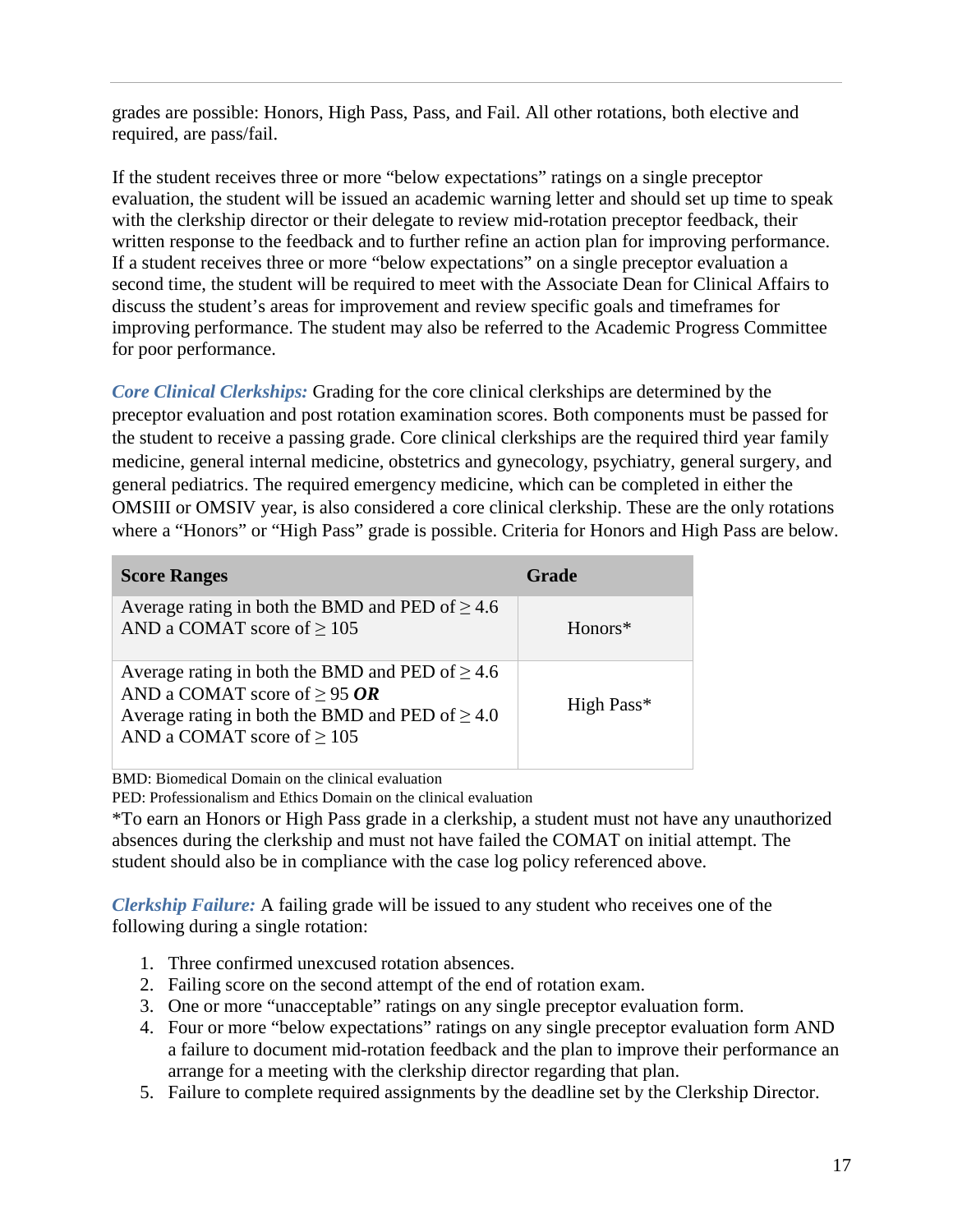grades are possible: Honors, High Pass, Pass, and Fail. All other rotations, both elective and required, are pass/fail.

If the student receives three or more "below expectations" ratings on a single preceptor evaluation, the student will be issued an academic warning letter and should set up time to speak with the clerkship director or their delegate to review mid-rotation preceptor feedback, their written response to the feedback and to further refine an action plan for improving performance. If a student receives three or more "below expectations" on a single preceptor evaluation a second time, the student will be required to meet with the Associate Dean for Clinical Affairs to discuss the student's areas for improvement and review specific goals and timeframes for improving performance. The student may also be referred to the Academic Progress Committee for poor performance.

*Core Clinical Clerkships:* Grading for the core clinical clerkships are determined by the preceptor evaluation and post rotation examination scores. Both components must be passed for the student to receive a passing grade. Core clinical clerkships are the required third year family medicine, general internal medicine, obstetrics and gynecology, psychiatry, general surgery, and general pediatrics. The required emergency medicine, which can be completed in either the OMSIII or OMSIV year, is also considered a core clinical clerkship. These are the only rotations where a "Honors" or "High Pass" grade is possible. Criteria for Honors and High Pass are below.

| <b>Score Ranges</b>                                                                                                                                                                  | Grade                  |
|--------------------------------------------------------------------------------------------------------------------------------------------------------------------------------------|------------------------|
| Average rating in both the BMD and PED of $\geq 4.6$<br>AND a COMAT score of $\geq 105$                                                                                              | $Honors*$              |
| Average rating in both the BMD and PED of $\geq 4.6$<br>AND a COMAT score of $\geq$ 95 OR<br>Average rating in both the BMD and PED of $\geq 4.0$<br>AND a COMAT score of $\geq 105$ | High Pass <sup>*</sup> |

BMD: Biomedical Domain on the clinical evaluation

PED: Professionalism and Ethics Domain on the clinical evaluation

\*To earn an Honors or High Pass grade in a clerkship, a student must not have any unauthorized absences during the clerkship and must not have failed the COMAT on initial attempt. The student should also be in compliance with the case log policy referenced above.

*Clerkship Failure:* A failing grade will be issued to any student who receives one of the following during a single rotation:

- 1. Three confirmed unexcused rotation absences.
- 2. Failing score on the second attempt of the end of rotation exam.
- 3. One or more "unacceptable" ratings on any single preceptor evaluation form.
- 4. Four or more "below expectations" ratings on any single preceptor evaluation form AND a failure to document mid-rotation feedback and the plan to improve their performance an arrange for a meeting with the clerkship director regarding that plan.
- 5. Failure to complete required assignments by the deadline set by the Clerkship Director.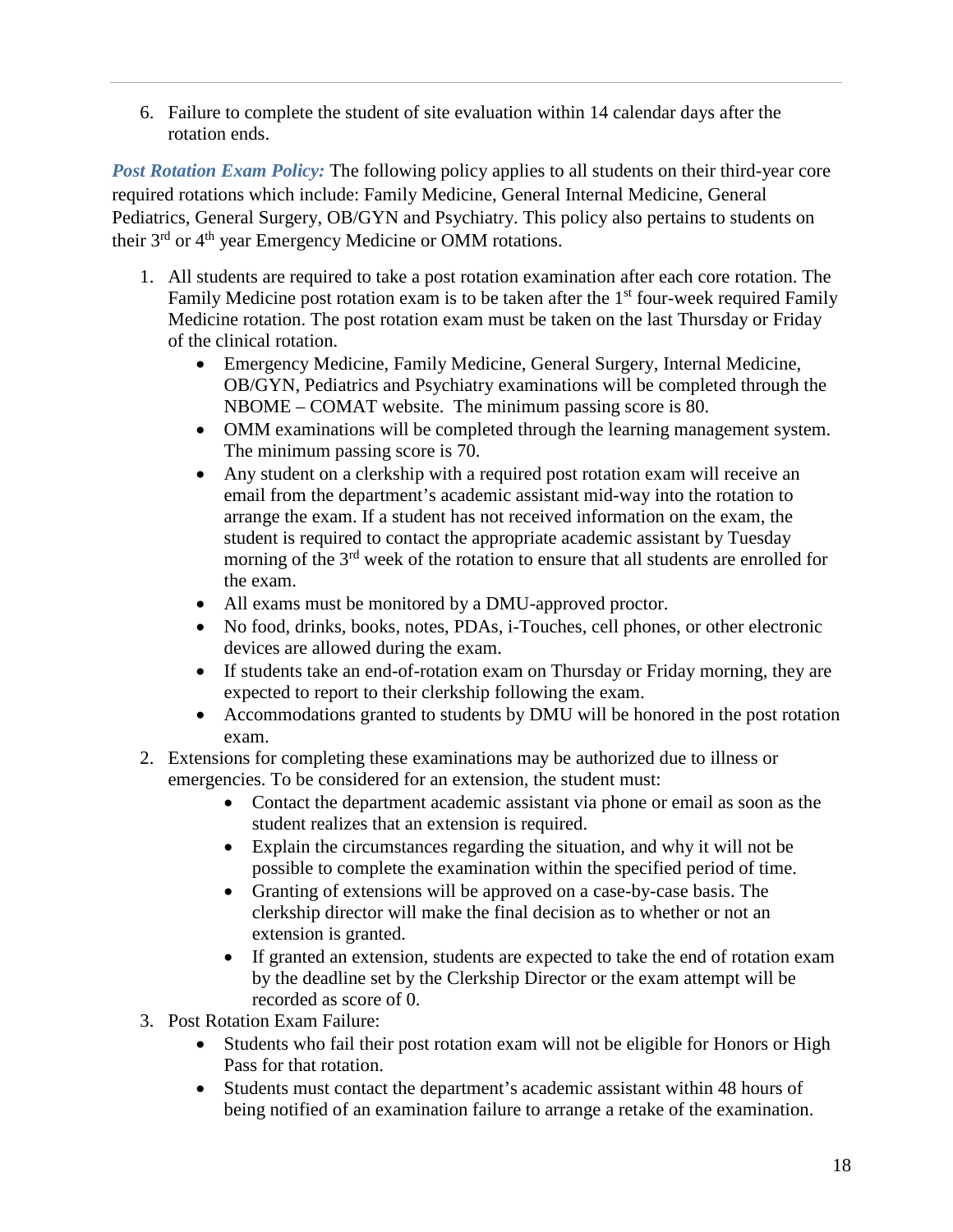6. Failure to complete the student of site evaluation within 14 calendar days after the rotation ends.

*Post Rotation Exam Policy:* The following policy applies to all students on their third-year core required rotations which include: Family Medicine, General Internal Medicine, General Pediatrics, General Surgery, OB/GYN and Psychiatry. This policy also pertains to students on their 3rd or 4th year Emergency Medicine or OMM rotations.

- 1. All students are required to take a post rotation examination after each core rotation. The Family Medicine post rotation exam is to be taken after the  $1<sup>st</sup>$  four-week required Family Medicine rotation. The post rotation exam must be taken on the last Thursday or Friday of the clinical rotation.
	- Emergency Medicine, Family Medicine, General Surgery, Internal Medicine, OB/GYN, Pediatrics and Psychiatry examinations will be completed through the NBOME – COMAT website. The minimum passing score is 80.
	- OMM examinations will be completed through the learning management system. The minimum passing score is 70.
	- Any student on a clerkship with a required post rotation exam will receive an email from the department's academic assistant mid-way into the rotation to arrange the exam. If a student has not received information on the exam, the student is required to contact the appropriate academic assistant by Tuesday morning of the 3<sup>rd</sup> week of the rotation to ensure that all students are enrolled for the exam.
	- All exams must be monitored by a DMU-approved proctor.
	- No food, drinks, books, notes, PDAs, i-Touches, cell phones, or other electronic devices are allowed during the exam.
	- If students take an end-of-rotation exam on Thursday or Friday morning, they are expected to report to their clerkship following the exam.
	- Accommodations granted to students by DMU will be honored in the post rotation exam.
- 2. Extensions for completing these examinations may be authorized due to illness or emergencies. To be considered for an extension, the student must:
	- Contact the department academic assistant via phone or email as soon as the student realizes that an extension is required.
	- Explain the circumstances regarding the situation, and why it will not be possible to complete the examination within the specified period of time.
	- Granting of extensions will be approved on a case-by-case basis. The clerkship director will make the final decision as to whether or not an extension is granted.
	- If granted an extension, students are expected to take the end of rotation exam by the deadline set by the Clerkship Director or the exam attempt will be recorded as score of 0.
- 3. Post Rotation Exam Failure:
	- Students who fail their post rotation exam will not be eligible for Honors or High Pass for that rotation.
	- Students must contact the department's academic assistant within 48 hours of being notified of an examination failure to arrange a retake of the examination.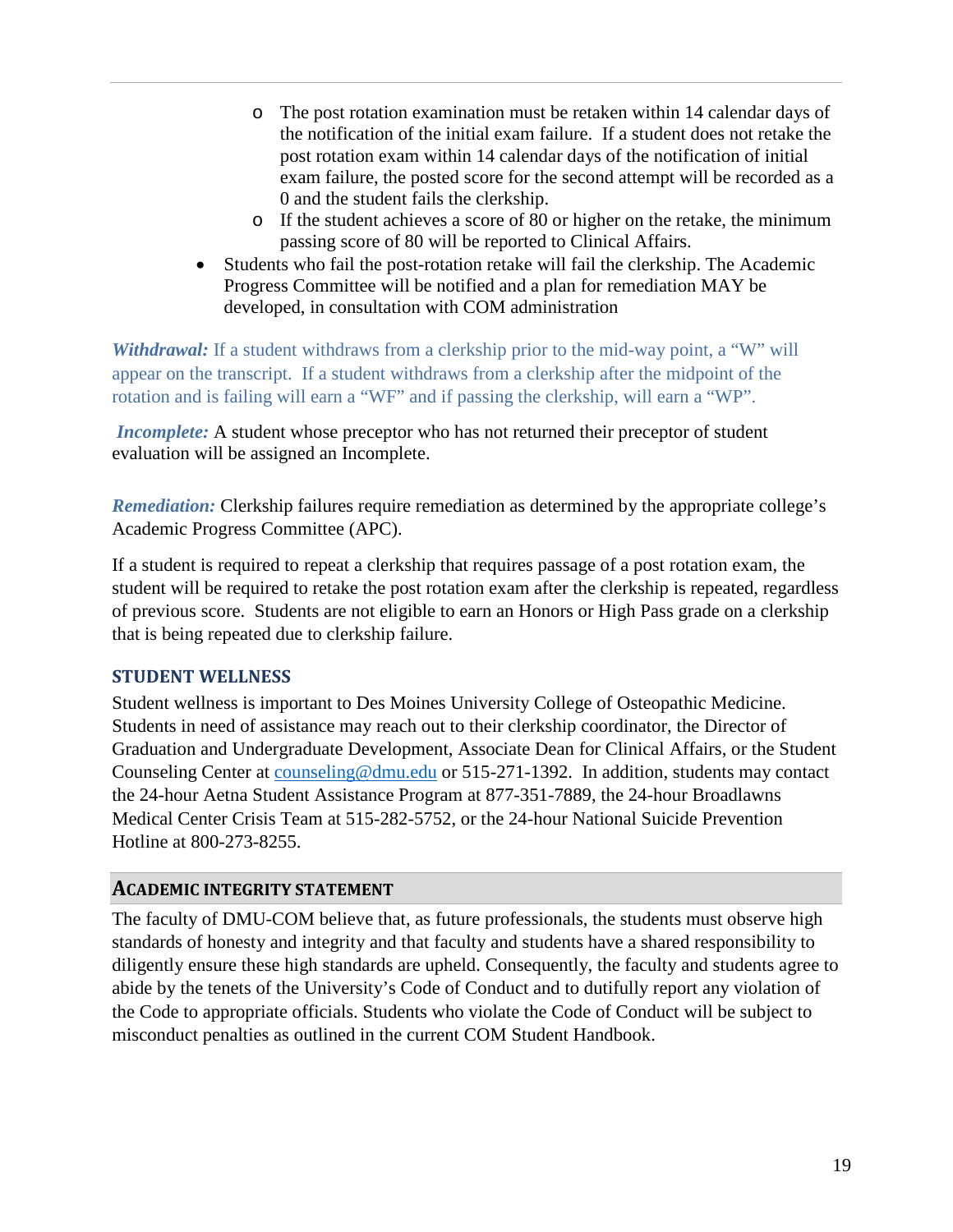- o The post rotation examination must be retaken within 14 calendar days of the notification of the initial exam failure. If a student does not retake the post rotation exam within 14 calendar days of the notification of initial exam failure, the posted score for the second attempt will be recorded as a 0 and the student fails the clerkship.
- o If the student achieves a score of 80 or higher on the retake, the minimum passing score of 80 will be reported to Clinical Affairs.
- Students who fail the post-rotation retake will fail the clerkship. The Academic Progress Committee will be notified and a plan for remediation MAY be developed, in consultation with COM administration

*Withdrawal:* If a student withdraws from a clerkship prior to the mid-way point, a "W" will appear on the transcript. If a student withdraws from a clerkship after the midpoint of the rotation and is failing will earn a "WF" and if passing the clerkship, will earn a "WP".

*Incomplete:* A student whose preceptor who has not returned their preceptor of student evaluation will be assigned an Incomplete.

*Remediation:* Clerkship failures require remediation as determined by the appropriate college's Academic Progress Committee (APC).

If a student is required to repeat a clerkship that requires passage of a post rotation exam, the student will be required to retake the post rotation exam after the clerkship is repeated, regardless of previous score. Students are not eligible to earn an Honors or High Pass grade on a clerkship that is being repeated due to clerkship failure.

### **STUDENT WELLNESS**

Student wellness is important to Des Moines University College of Osteopathic Medicine. Students in need of assistance may reach out to their clerkship coordinator, the Director of Graduation and Undergraduate Development, Associate Dean for Clinical Affairs, or the Student Counseling Center at [counseling@dmu.edu](mailto:counseling@dmu.edu) or 515-271-1392. In addition, students may contact the 24-hour Aetna Student Assistance Program at 877-351-7889, the 24-hour Broadlawns Medical Center Crisis Team at 515-282-5752, or the 24-hour National Suicide Prevention Hotline at 800-273-8255.

### **ACADEMIC INTEGRITY STATEMENT**

The faculty of DMU-COM believe that, as future professionals, the students must observe high standards of honesty and integrity and that faculty and students have a shared responsibility to diligently ensure these high standards are upheld. Consequently, the faculty and students agree to abide by the tenets of the University's Code of Conduct and to dutifully report any violation of the Code to appropriate officials. Students who violate the Code of Conduct will be subject to misconduct penalties as outlined in the current COM Student Handbook.